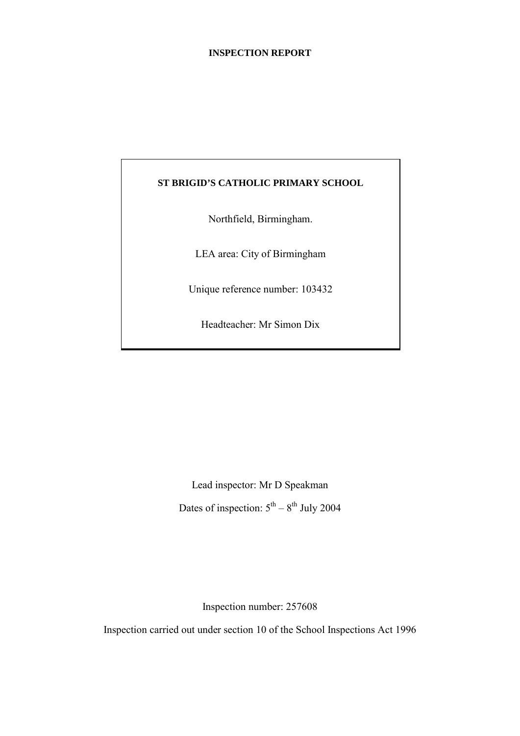#### **INSPECTION REPORT**

#### **ST BRIGID'S CATHOLIC PRIMARY SCHOOL**

Northfield, Birmingham.

LEA area: City of Birmingham

Unique reference number: 103432

Headteacher: Mr Simon Dix

Lead inspector: Mr D Speakman Dates of inspection:  $5<sup>th</sup> - 8<sup>th</sup>$  July 2004

Inspection number: 257608

Inspection carried out under section 10 of the School Inspections Act 1996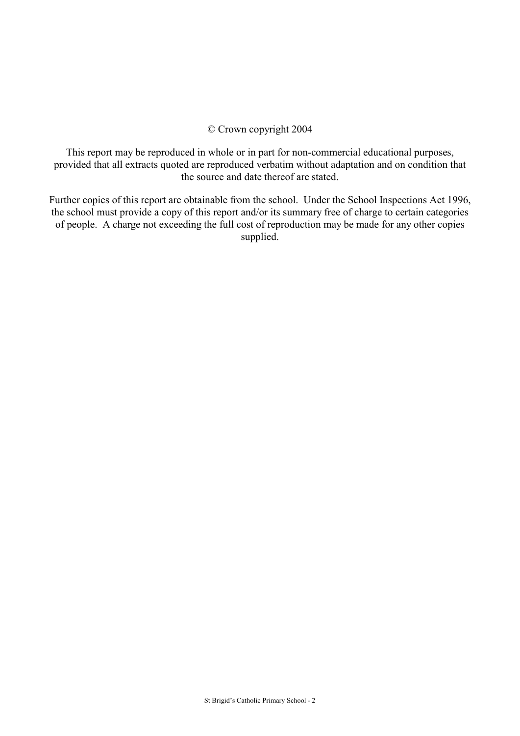#### © Crown copyright 2004

This report may be reproduced in whole or in part for non-commercial educational purposes, provided that all extracts quoted are reproduced verbatim without adaptation and on condition that the source and date thereof are stated.

Further copies of this report are obtainable from the school. Under the School Inspections Act 1996, the school must provide a copy of this report and/or its summary free of charge to certain categories of people. A charge not exceeding the full cost of reproduction may be made for any other copies supplied.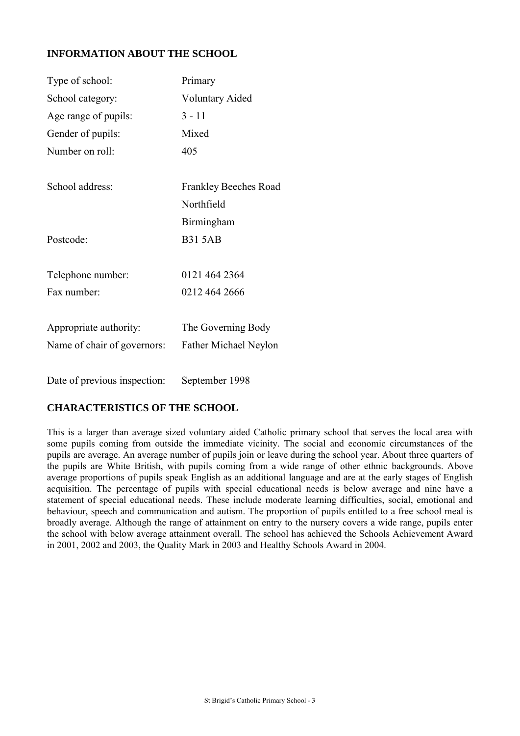## **INFORMATION ABOUT THE SCHOOL**

| Primary                |
|------------------------|
| <b>Voluntary Aided</b> |
| $3 - 11$               |
| Mixed                  |
| 405                    |
|                        |
| Frankley Beeches Road  |
| Northfield             |
| Birmingham             |
| <b>B31 5AB</b>         |
|                        |
| 0121 464 2364          |
| 0212 464 2666          |
|                        |
| The Governing Body     |
| Father Michael Neylon  |
|                        |
|                        |

Date of previous inspection: September 1998

## **CHARACTERISTICS OF THE SCHOOL**

This is a larger than average sized voluntary aided Catholic primary school that serves the local area with some pupils coming from outside the immediate vicinity. The social and economic circumstances of the pupils are average. An average number of pupils join or leave during the school year. About three quarters of the pupils are White British, with pupils coming from a wide range of other ethnic backgrounds. Above average proportions of pupils speak English as an additional language and are at the early stages of English acquisition. The percentage of pupils with special educational needs is below average and nine have a statement of special educational needs. These include moderate learning difficulties, social, emotional and behaviour, speech and communication and autism. The proportion of pupils entitled to a free school meal is broadly average. Although the range of attainment on entry to the nursery covers a wide range, pupils enter the school with below average attainment overall. The school has achieved the Schools Achievement Award in 2001, 2002 and 2003, the Quality Mark in 2003 and Healthy Schools Award in 2004.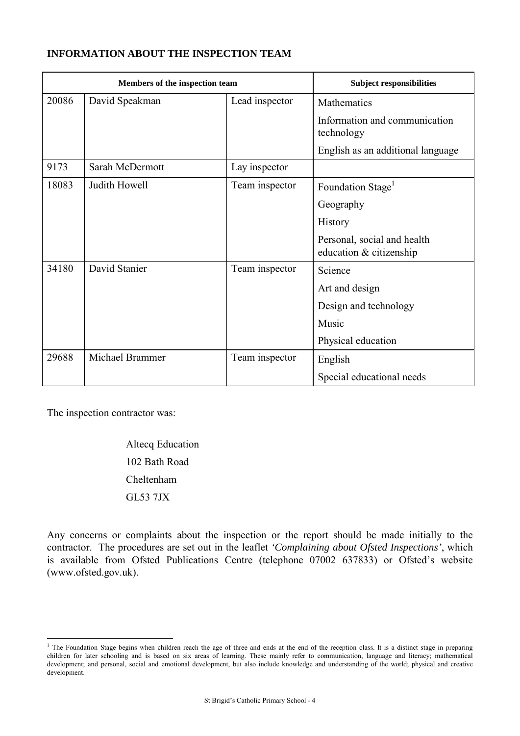## **INFORMATION ABOUT THE INSPECTION TEAM**

|       | Members of the inspection team |                | <b>Subject responsibilities</b>                        |
|-------|--------------------------------|----------------|--------------------------------------------------------|
| 20086 | David Speakman                 | Lead inspector | Mathematics                                            |
|       |                                |                | Information and communication<br>technology            |
|       |                                |                | English as an additional language                      |
| 9173  | Sarah McDermott                | Lay inspector  |                                                        |
| 18083 | Judith Howell                  | Team inspector | Foundation Stage <sup>1</sup>                          |
|       |                                |                | Geography                                              |
|       |                                |                | <b>History</b>                                         |
|       |                                |                | Personal, social and health<br>education & citizenship |
| 34180 | David Stanier                  | Team inspector | Science                                                |
|       |                                |                | Art and design                                         |
|       |                                |                | Design and technology                                  |
|       |                                |                | Music                                                  |
|       |                                |                | Physical education                                     |
| 29688 | Michael Brammer                | Team inspector | English                                                |
|       |                                |                | Special educational needs                              |

The inspection contractor was:

Altecq Education 102 Bath Road Cheltenham GL53 7JX

Any concerns or complaints about the inspection or the report should be made initially to the contractor. The procedures are set out in the leaflet *'Complaining about Ofsted Inspections'*, which is available from Ofsted Publications Centre (telephone 07002 637833) or Ofsted's website (www.ofsted.gov.uk).

<sup>&</sup>lt;sup>1</sup> The Foundation Stage begins when children reach the age of three and ends at the end of the reception class. It is a distinct stage in preparing children for later schooling and is based on six areas of learning. These mainly refer to communication, language and literacy; mathematical development; and personal, social and emotional development, but also include knowledge and understanding of the world; physical and creative development.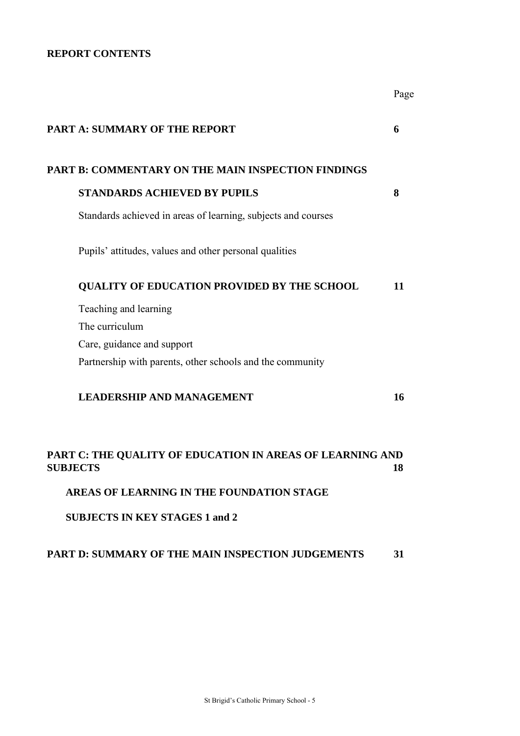## **REPORT CONTENTS**

|                 |                                                               | Page |
|-----------------|---------------------------------------------------------------|------|
|                 | <b>PART A: SUMMARY OF THE REPORT</b>                          | 6    |
|                 | PART B: COMMENTARY ON THE MAIN INSPECTION FINDINGS            |      |
|                 | <b>STANDARDS ACHIEVED BY PUPILS</b>                           | 8    |
|                 | Standards achieved in areas of learning, subjects and courses |      |
|                 | Pupils' attitudes, values and other personal qualities        |      |
|                 | <b>QUALITY OF EDUCATION PROVIDED BY THE SCHOOL</b>            | 11   |
|                 | Teaching and learning                                         |      |
|                 | The curriculum                                                |      |
|                 | Care, guidance and support                                    |      |
|                 | Partnership with parents, other schools and the community     |      |
|                 | <b>LEADERSHIP AND MANAGEMENT</b>                              | 16   |
| <b>SUBJECTS</b> | PART C: THE QUALITY OF EDUCATION IN AREAS OF LEARNING AND     | 18   |
|                 | <b>AREAS OF LEARNING IN THE FOUNDATION STAGE</b>              |      |

**SUBJECTS IN KEY STAGES 1 and 2**

## **PART D: SUMMARY OF THE MAIN INSPECTION JUDGEMENTS 31**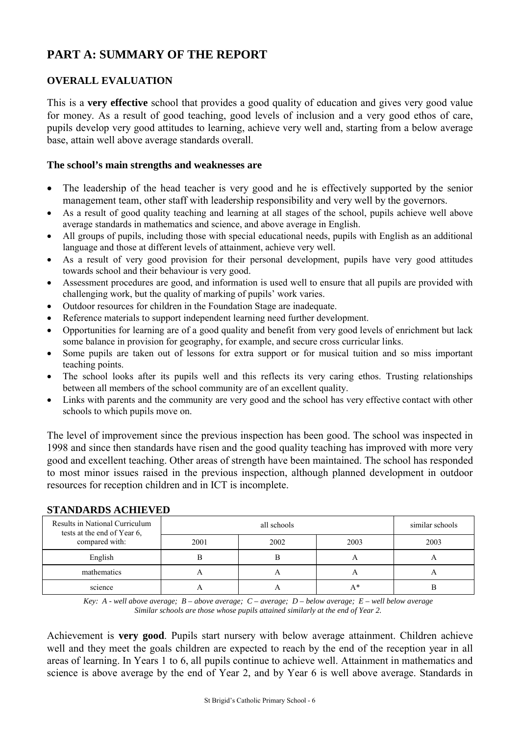# **PART A: SUMMARY OF THE REPORT**

## **OVERALL EVALUATION**

This is a **very effective** school that provides a good quality of education and gives very good value for money. As a result of good teaching, good levels of inclusion and a very good ethos of care, pupils develop very good attitudes to learning, achieve very well and, starting from a below average base, attain well above average standards overall.

#### **The school's main strengths and weaknesses are**

- The leadership of the head teacher is very good and he is effectively supported by the senior management team, other staff with leadership responsibility and very well by the governors.
- As a result of good quality teaching and learning at all stages of the school, pupils achieve well above average standards in mathematics and science, and above average in English.
- All groups of pupils, including those with special educational needs, pupils with English as an additional language and those at different levels of attainment, achieve very well.
- As a result of very good provision for their personal development, pupils have very good attitudes towards school and their behaviour is very good.
- Assessment procedures are good, and information is used well to ensure that all pupils are provided with challenging work, but the quality of marking of pupils' work varies.
- Outdoor resources for children in the Foundation Stage are inadequate.
- Reference materials to support independent learning need further development.
- Opportunities for learning are of a good quality and benefit from very good levels of enrichment but lack some balance in provision for geography, for example, and secure cross curricular links.
- Some pupils are taken out of lessons for extra support or for musical tuition and so miss important teaching points.
- The school looks after its pupils well and this reflects its very caring ethos. Trusting relationships between all members of the school community are of an excellent quality.
- Links with parents and the community are very good and the school has very effective contact with other schools to which pupils move on.

The level of improvement since the previous inspection has been good. The school was inspected in 1998 and since then standards have risen and the good quality teaching has improved with more very good and excellent teaching. Other areas of strength have been maintained. The school has responded to most minor issues raised in the previous inspection, although planned development in outdoor resources for reception children and in ICT is incomplete.

| римодимо пошно по                                             |      |             |              |                 |  |  |  |
|---------------------------------------------------------------|------|-------------|--------------|-----------------|--|--|--|
| Results in National Curriculum<br>tests at the end of Year 6, |      | all schools |              | similar schools |  |  |  |
| compared with:                                                | 2001 | 2002        | 2003         | 2003            |  |  |  |
| English                                                       |      |             | $\mathsf{A}$ | $\sqrt{ }$      |  |  |  |
| mathematics                                                   |      | $\sqrt{ }$  | $\sim$       |                 |  |  |  |
| science                                                       |      |             | A*           |                 |  |  |  |

## **STANDARDS ACHIEVED**

*Key: A - well above average; B – above average; C – average; D – below average; E – well below average Similar schools are those whose pupils attained similarly at the end of Year 2.*

Achievement is **very good**. Pupils start nursery with below average attainment. Children achieve well and they meet the goals children are expected to reach by the end of the reception year in all areas of learning. In Years 1 to 6, all pupils continue to achieve well. Attainment in mathematics and science is above average by the end of Year 2, and by Year 6 is well above average. Standards in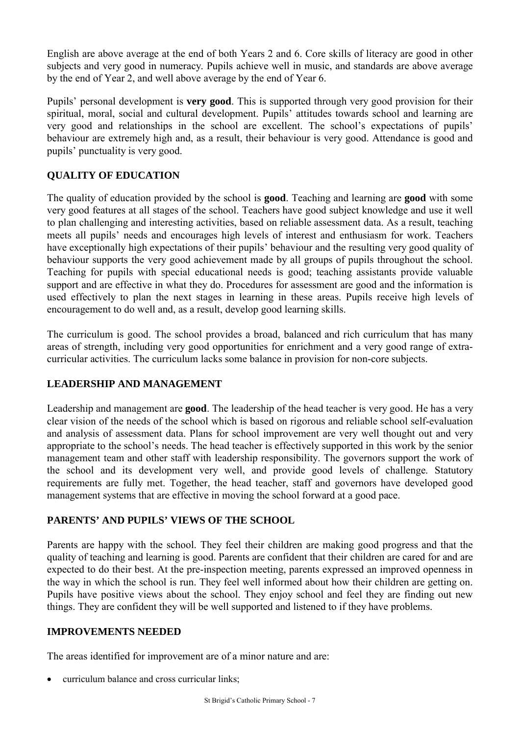English are above average at the end of both Years 2 and 6. Core skills of literacy are good in other subjects and very good in numeracy. Pupils achieve well in music, and standards are above average by the end of Year 2, and well above average by the end of Year 6.

Pupils' personal development is **very good**. This is supported through very good provision for their spiritual, moral, social and cultural development. Pupils' attitudes towards school and learning are very good and relationships in the school are excellent. The school's expectations of pupils' behaviour are extremely high and, as a result, their behaviour is very good. Attendance is good and pupils' punctuality is very good.

## **QUALITY OF EDUCATION**

The quality of education provided by the school is **good**. Teaching and learning are **good** with some very good features at all stages of the school. Teachers have good subject knowledge and use it well to plan challenging and interesting activities, based on reliable assessment data. As a result, teaching meets all pupils' needs and encourages high levels of interest and enthusiasm for work. Teachers have exceptionally high expectations of their pupils' behaviour and the resulting very good quality of behaviour supports the very good achievement made by all groups of pupils throughout the school. Teaching for pupils with special educational needs is good; teaching assistants provide valuable support and are effective in what they do. Procedures for assessment are good and the information is used effectively to plan the next stages in learning in these areas. Pupils receive high levels of encouragement to do well and, as a result, develop good learning skills.

The curriculum is good. The school provides a broad, balanced and rich curriculum that has many areas of strength, including very good opportunities for enrichment and a very good range of extracurricular activities. The curriculum lacks some balance in provision for non-core subjects.

## **LEADERSHIP AND MANAGEMENT**

Leadership and management are **good**. The leadership of the head teacher is very good. He has a very clear vision of the needs of the school which is based on rigorous and reliable school self-evaluation and analysis of assessment data. Plans for school improvement are very well thought out and very appropriate to the school's needs. The head teacher is effectively supported in this work by the senior management team and other staff with leadership responsibility. The governors support the work of the school and its development very well, and provide good levels of challenge. Statutory requirements are fully met. Together, the head teacher, staff and governors have developed good management systems that are effective in moving the school forward at a good pace.

## **PARENTS' AND PUPILS' VIEWS OF THE SCHOOL**

Parents are happy with the school. They feel their children are making good progress and that the quality of teaching and learning is good. Parents are confident that their children are cared for and are expected to do their best. At the pre-inspection meeting, parents expressed an improved openness in the way in which the school is run. They feel well informed about how their children are getting on. Pupils have positive views about the school. They enjoy school and feel they are finding out new things. They are confident they will be well supported and listened to if they have problems.

## **IMPROVEMENTS NEEDED**

The areas identified for improvement are of a minor nature and are:

curriculum balance and cross curricular links;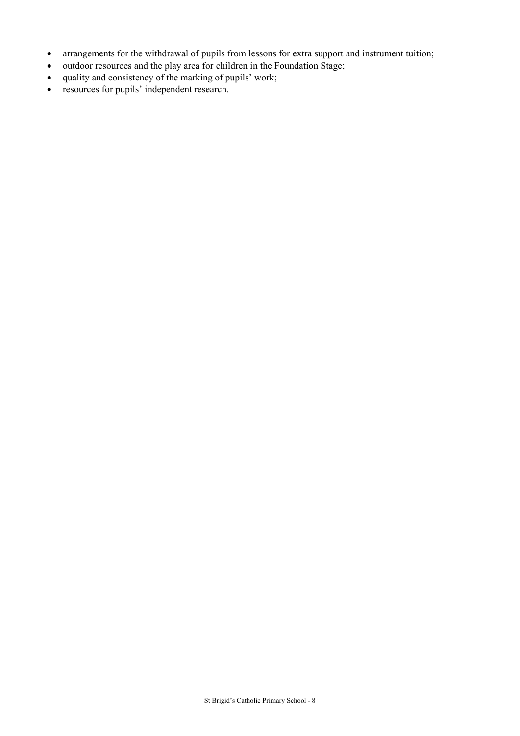- arrangements for the withdrawal of pupils from lessons for extra support and instrument tuition;
- outdoor resources and the play area for children in the Foundation Stage;
- quality and consistency of the marking of pupils' work;
- resources for pupils' independent research.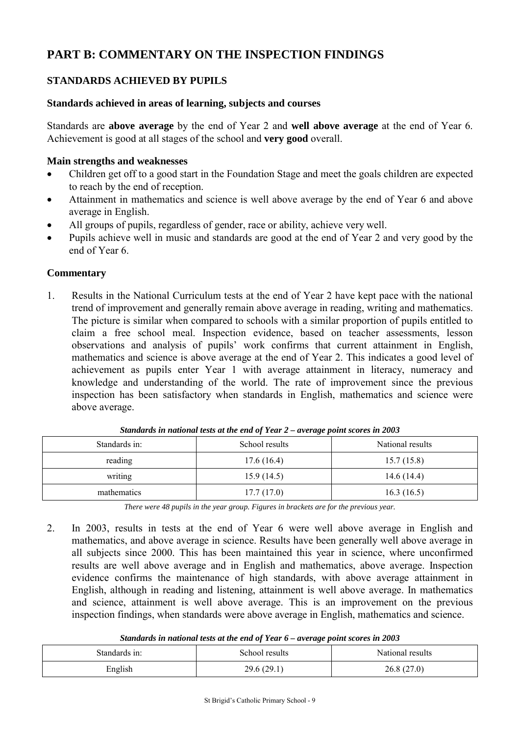# **PART B: COMMENTARY ON THE INSPECTION FINDINGS**

## **STANDARDS ACHIEVED BY PUPILS**

#### **Standards achieved in areas of learning, subjects and courses**

Standards are **above average** by the end of Year 2 and **well above average** at the end of Year 6. Achievement is good at all stages of the school and **very good** overall.

#### **Main strengths and weaknesses**

- Children get off to a good start in the Foundation Stage and meet the goals children are expected to reach by the end of reception.
- Attainment in mathematics and science is well above average by the end of Year 6 and above average in English.
- All groups of pupils, regardless of gender, race or ability, achieve very well.
- Pupils achieve well in music and standards are good at the end of Year 2 and very good by the end of Year 6.

## **Commentary**

1. Results in the National Curriculum tests at the end of Year 2 have kept pace with the national trend of improvement and generally remain above average in reading, writing and mathematics. The picture is similar when compared to schools with a similar proportion of pupils entitled to claim a free school meal. Inspection evidence, based on teacher assessments, lesson observations and analysis of pupils' work confirms that current attainment in English, mathematics and science is above average at the end of Year 2. This indicates a good level of achievement as pupils enter Year 1 with average attainment in literacy, numeracy and knowledge and understanding of the world. The rate of improvement since the previous inspection has been satisfactory when standards in English, mathematics and science were above average.

| Standards in: | School results | National results |
|---------------|----------------|------------------|
| reading       | 17.6(16.4)     | 15.7(15.8)       |
| writing       | 15.9(14.5)     | 14.6 $(14.4)$    |
| mathematics   | 17.7(17.0)     | 16.3(16.5)       |

*Standards in national tests at the end of Year 2 – average point scores in 2003*

*There were 48 pupils in the year group. Figures in brackets are for the previous year.*

2. In 2003, results in tests at the end of Year 6 were well above average in English and mathematics, and above average in science. Results have been generally well above average in all subjects since 2000. This has been maintained this year in science, where unconfirmed results are well above average and in English and mathematics, above average. Inspection evidence confirms the maintenance of high standards, with above average attainment in English, although in reading and listening, attainment is well above average. In mathematics and science, attainment is well above average. This is an improvement on the previous inspection findings, when standards were above average in English, mathematics and science.

| Standards in national tests at the end of Year 6 – average point scores in 2003 |  |  |
|---------------------------------------------------------------------------------|--|--|
|---------------------------------------------------------------------------------|--|--|

| Standards in: | School results | National results |  |
|---------------|----------------|------------------|--|
| English       | 29.6(29.1)     | 26.8(27.0)       |  |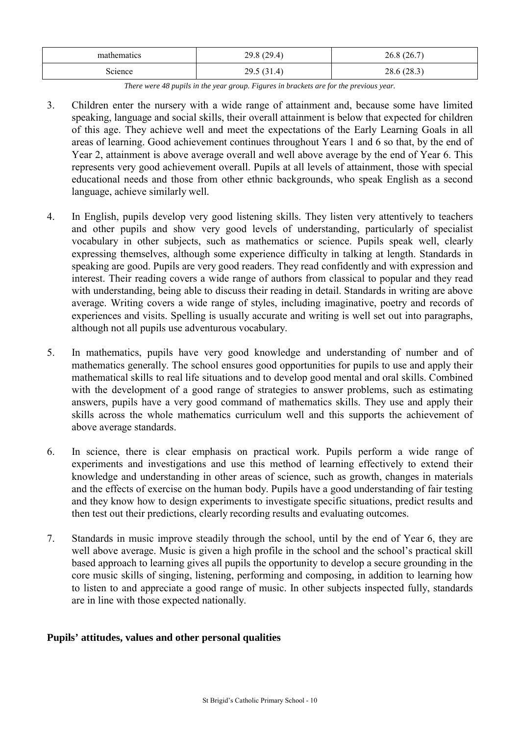| mathematics | 29.8(29.4) | 26.8(26.7)  |
|-------------|------------|-------------|
| Science     | 29.5(31.4) | 28.6 (28.3) |

*There were 48 pupils in the year group. Figures in brackets are for the previous year.*

- 3. Children enter the nursery with a wide range of attainment and, because some have limited speaking, language and social skills, their overall attainment is below that expected for children of this age. They achieve well and meet the expectations of the Early Learning Goals in all areas of learning. Good achievement continues throughout Years 1 and 6 so that, by the end of Year 2, attainment is above average overall and well above average by the end of Year 6. This represents very good achievement overall. Pupils at all levels of attainment, those with special educational needs and those from other ethnic backgrounds, who speak English as a second language, achieve similarly well.
- 4. In English, pupils develop very good listening skills. They listen very attentively to teachers and other pupils and show very good levels of understanding, particularly of specialist vocabulary in other subjects, such as mathematics or science. Pupils speak well, clearly expressing themselves, although some experience difficulty in talking at length. Standards in speaking are good. Pupils are very good readers. They read confidently and with expression and interest. Their reading covers a wide range of authors from classical to popular and they read with understanding, being able to discuss their reading in detail. Standards in writing are above average. Writing covers a wide range of styles, including imaginative, poetry and records of experiences and visits. Spelling is usually accurate and writing is well set out into paragraphs, although not all pupils use adventurous vocabulary.
- 5. In mathematics, pupils have very good knowledge and understanding of number and of mathematics generally. The school ensures good opportunities for pupils to use and apply their mathematical skills to real life situations and to develop good mental and oral skills. Combined with the development of a good range of strategies to answer problems, such as estimating answers, pupils have a very good command of mathematics skills. They use and apply their skills across the whole mathematics curriculum well and this supports the achievement of above average standards.
- 6. In science, there is clear emphasis on practical work. Pupils perform a wide range of experiments and investigations and use this method of learning effectively to extend their knowledge and understanding in other areas of science, such as growth, changes in materials and the effects of exercise on the human body. Pupils have a good understanding of fair testing and they know how to design experiments to investigate specific situations, predict results and then test out their predictions, clearly recording results and evaluating outcomes.
- 7. Standards in music improve steadily through the school, until by the end of Year 6, they are well above average. Music is given a high profile in the school and the school's practical skill based approach to learning gives all pupils the opportunity to develop a secure grounding in the core music skills of singing, listening, performing and composing, in addition to learning how to listen to and appreciate a good range of music. In other subjects inspected fully, standards are in line with those expected nationally.

## **Pupils' attitudes, values and other personal qualities**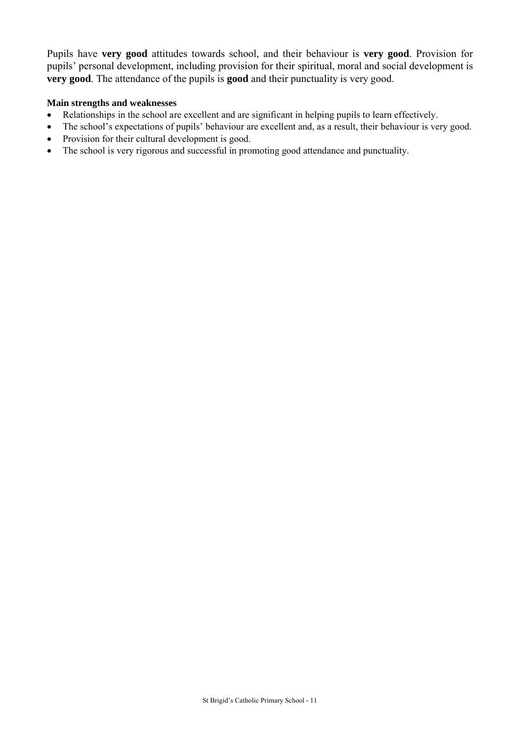Pupils have **very good** attitudes towards school, and their behaviour is **very good**. Provision for pupils' personal development, including provision for their spiritual, moral and social development is **very good**. The attendance of the pupils is **good** and their punctuality is very good.

#### **Main strengths and weaknesses**

- Relationships in the school are excellent and are significant in helping pupils to learn effectively.
- The school's expectations of pupils' behaviour are excellent and, as a result, their behaviour is very good.
- Provision for their cultural development is good.
- The school is very rigorous and successful in promoting good attendance and punctuality.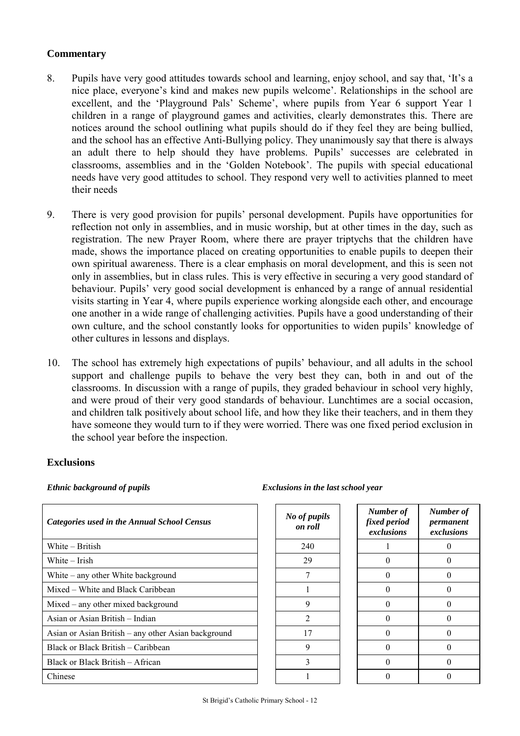## **Commentary**

- 8. Pupils have very good attitudes towards school and learning, enjoy school, and say that, 'It's a nice place, everyone's kind and makes new pupils welcome'. Relationships in the school are excellent, and the 'Playground Pals' Scheme', where pupils from Year 6 support Year 1 children in a range of playground games and activities, clearly demonstrates this. There are notices around the school outlining what pupils should do if they feel they are being bullied, and the school has an effective Anti-Bullying policy. They unanimously say that there is always an adult there to help should they have problems. Pupils' successes are celebrated in classrooms, assemblies and in the 'Golden Notebook'. The pupils with special educational needs have very good attitudes to school. They respond very well to activities planned to meet their needs
- 9. There is very good provision for pupils' personal development. Pupils have opportunities for reflection not only in assemblies, and in music worship, but at other times in the day, such as registration. The new Prayer Room, where there are prayer triptychs that the children have made, shows the importance placed on creating opportunities to enable pupils to deepen their own spiritual awareness. There is a clear emphasis on moral development, and this is seen not only in assemblies, but in class rules. This is very effective in securing a very good standard of behaviour. Pupils' very good social development is enhanced by a range of annual residential visits starting in Year 4, where pupils experience working alongside each other, and encourage one another in a wide range of challenging activities. Pupils have a good understanding of their own culture, and the school constantly looks for opportunities to widen pupils' knowledge of other cultures in lessons and displays.
- 10. The school has extremely high expectations of pupils' behaviour, and all adults in the school support and challenge pupils to behave the very best they can, both in and out of the classrooms. In discussion with a range of pupils, they graded behaviour in school very highly, and were proud of their very good standards of behaviour. Lunchtimes are a social occasion, and children talk positively about school life, and how they like their teachers, and in them they have someone they would turn to if they were worried. There was one fixed period exclusion in the school year before the inspection.

#### **Exclusions**

| <b>Categories used in the Annual School Census</b>  | No of pupils<br>on roll | Number of<br>fixed period<br>exclusions | Numb<br>permo<br>exclu: |
|-----------------------------------------------------|-------------------------|-----------------------------------------|-------------------------|
| White – British                                     | 240                     |                                         | O                       |
| White $-$ Irish                                     | 29                      | $\theta$                                | O                       |
| White $-$ any other White background                |                         | $\Omega$                                | O                       |
| Mixed – White and Black Caribbean                   |                         | $\Omega$                                | 0                       |
| Mixed – any other mixed background                  | 9                       | 0                                       | $\left($                |
| Asian or Asian British - Indian                     | $\mathfrak{D}$          | 0                                       | $\left($                |
| Asian or Asian British – any other Asian background | 17                      | 0                                       | $\left($                |
| Black or Black British – Caribbean                  | 9                       | 0                                       | $\left($                |
| Black or Black British – African                    | 3                       | $\Omega$                                | $\left($                |
| Chinese                                             |                         |                                         |                         |

#### *Ethnic background of pupils Exclusions in the last school year*

| of pupils<br>on roll | Number of<br>fixed period<br>exclusions | Number of<br>permanent<br>exclusions |
|----------------------|-----------------------------------------|--------------------------------------|
| 240                  |                                         |                                      |
| 29                   | 0                                       | 0                                    |
| 7                    | 0                                       | 0                                    |
| 1                    | 0                                       | 0                                    |
| 9                    | 0                                       | 0                                    |
| $\overline{2}$       | 0                                       | 0                                    |
| 17                   | 0                                       | 0                                    |
| 9                    | 0                                       | 0                                    |
| 3                    | 0                                       | 0                                    |
|                      |                                         |                                      |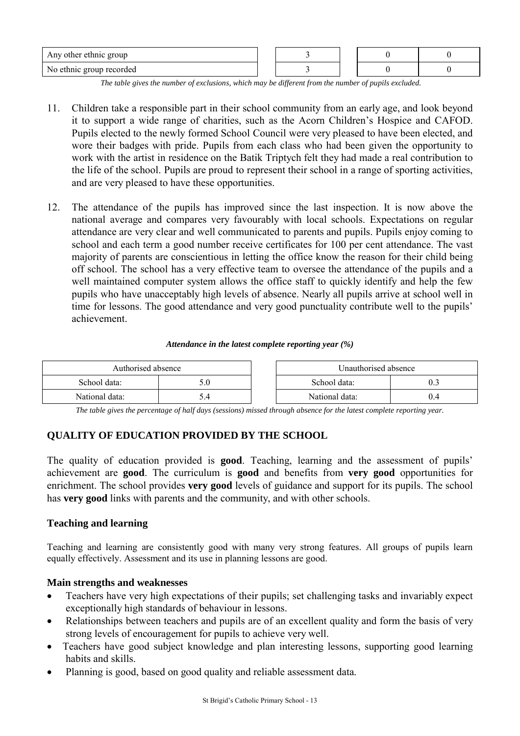| Any other ethnic group   |  |  |  |
|--------------------------|--|--|--|
| No ethnic group recorded |  |  |  |

*The table gives the number of exclusions, which may be different from the number of pupils excluded.*

- 11. Children take a responsible part in their school community from an early age, and look beyond it to support a wide range of charities, such as the Acorn Children's Hospice and CAFOD. Pupils elected to the newly formed School Council were very pleased to have been elected, and wore their badges with pride. Pupils from each class who had been given the opportunity to work with the artist in residence on the Batik Triptych felt they had made a real contribution to the life of the school. Pupils are proud to represent their school in a range of sporting activities, and are very pleased to have these opportunities.
- 12. The attendance of the pupils has improved since the last inspection. It is now above the national average and compares very favourably with local schools. Expectations on regular attendance are very clear and well communicated to parents and pupils. Pupils enjoy coming to school and each term a good number receive certificates for 100 per cent attendance. The vast majority of parents are conscientious in letting the office know the reason for their child being off school. The school has a very effective team to oversee the attendance of the pupils and a well maintained computer system allows the office staff to quickly identify and help the few pupils who have unacceptably high levels of absence. Nearly all pupils arrive at school well in time for lessons. The good attendance and very good punctuality contribute well to the pupils' achievement.

#### *Attendance in the latest complete reporting year (%)*

| Authorised absence |     |  | Unauthorised absence |  |  |
|--------------------|-----|--|----------------------|--|--|
| School data:       | ).U |  | School data:         |  |  |
| National data:     |     |  | National data:       |  |  |

*The table gives the percentage of half days (sessions) missed through absence for the latest complete reporting year.*

## **QUALITY OF EDUCATION PROVIDED BY THE SCHOOL**

The quality of education provided is **good**. Teaching, learning and the assessment of pupils' achievement are **good**. The curriculum is **good** and benefits from **very good** opportunities for enrichment. The school provides **very good** levels of guidance and support for its pupils. The school has **very good** links with parents and the community, and with other schools.

#### **Teaching and learning**

Teaching and learning are consistently good with many very strong features. All groups of pupils learn equally effectively. Assessment and its use in planning lessons are good.

#### **Main strengths and weaknesses**

- Teachers have very high expectations of their pupils; set challenging tasks and invariably expect exceptionally high standards of behaviour in lessons.
- Relationships between teachers and pupils are of an excellent quality and form the basis of very strong levels of encouragement for pupils to achieve very well.
- Teachers have good subject knowledge and plan interesting lessons, supporting good learning habits and skills.
- Planning is good, based on good quality and reliable assessment data.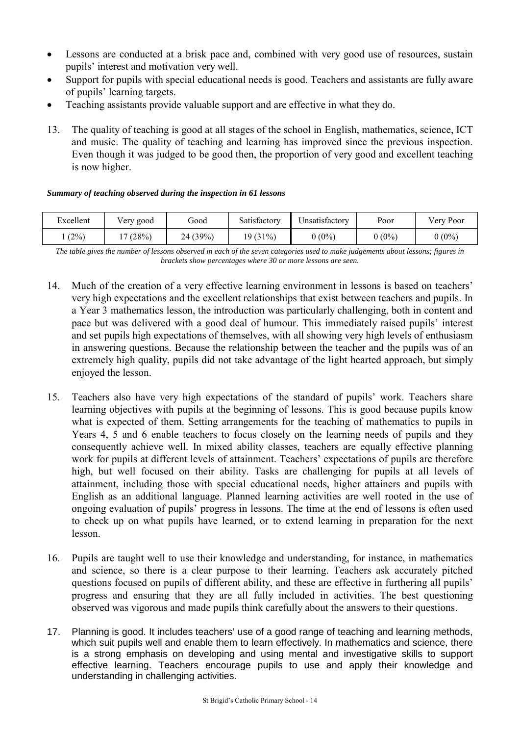- Lessons are conducted at a brisk pace and, combined with very good use of resources, sustain pupils' interest and motivation very well.
- Support for pupils with special educational needs is good. Teachers and assistants are fully aware of pupils' learning targets.
- Teaching assistants provide valuable support and are effective in what they do.
- 13. The quality of teaching is good at all stages of the school in English, mathematics, science, ICT and music. The quality of teaching and learning has improved since the previous inspection. Even though it was judged to be good then, the proportion of very good and excellent teaching is now higher.

#### *Summary of teaching observed during the inspection in 61 lessons*

| Excellent | Very good | boot     | Satisfactory | Unsatisfactorv | Poor     | Very Poor |
|-----------|-----------|----------|--------------|----------------|----------|-----------|
| (2%)      | (28%)     | 24 (39%) | 19 (31%)     | $0(0\%)$       | $0(0\%)$ | $0(0\%)$  |

*The table gives the number of lessons observed in each of the seven categories used to make judgements about lessons; figures in brackets show percentages where 30 or more lessons are seen.*

- 14. Much of the creation of a very effective learning environment in lessons is based on teachers' very high expectations and the excellent relationships that exist between teachers and pupils. In a Year 3 mathematics lesson, the introduction was particularly challenging, both in content and pace but was delivered with a good deal of humour. This immediately raised pupils' interest and set pupils high expectations of themselves, with all showing very high levels of enthusiasm in answering questions. Because the relationship between the teacher and the pupils was of an extremely high quality, pupils did not take advantage of the light hearted approach, but simply enjoyed the lesson.
- 15. Teachers also have very high expectations of the standard of pupils' work. Teachers share learning objectives with pupils at the beginning of lessons. This is good because pupils know what is expected of them. Setting arrangements for the teaching of mathematics to pupils in Years 4, 5 and 6 enable teachers to focus closely on the learning needs of pupils and they consequently achieve well. In mixed ability classes, teachers are equally effective planning work for pupils at different levels of attainment. Teachers' expectations of pupils are therefore high, but well focused on their ability. Tasks are challenging for pupils at all levels of attainment, including those with special educational needs, higher attainers and pupils with English as an additional language. Planned learning activities are well rooted in the use of ongoing evaluation of pupils' progress in lessons. The time at the end of lessons is often used to check up on what pupils have learned, or to extend learning in preparation for the next lesson.
- 16. Pupils are taught well to use their knowledge and understanding, for instance, in mathematics and science, so there is a clear purpose to their learning. Teachers ask accurately pitched questions focused on pupils of different ability, and these are effective in furthering all pupils' progress and ensuring that they are all fully included in activities. The best questioning observed was vigorous and made pupils think carefully about the answers to their questions.
- 17. Planning is good. It includes teachers' use of a good range of teaching and learning methods, which suit pupils well and enable them to learn effectively. In mathematics and science, there is a strong emphasis on developing and using mental and investigative skills to support effective learning. Teachers encourage pupils to use and apply their knowledge and understanding in challenging activities.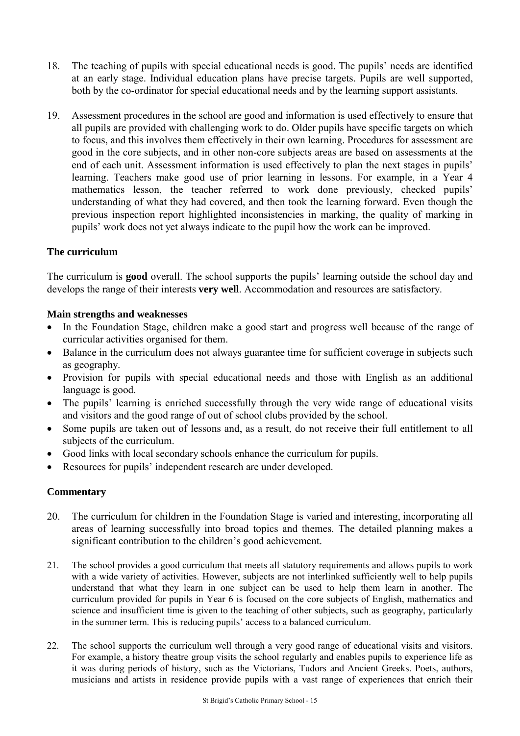- 18. The teaching of pupils with special educational needs is good. The pupils' needs are identified at an early stage. Individual education plans have precise targets. Pupils are well supported, both by the co-ordinator for special educational needs and by the learning support assistants.
- 19. Assessment procedures in the school are good and information is used effectively to ensure that all pupils are provided with challenging work to do. Older pupils have specific targets on which to focus, and this involves them effectively in their own learning. Procedures for assessment are good in the core subjects, and in other non-core subjects areas are based on assessments at the end of each unit. Assessment information is used effectively to plan the next stages in pupils' learning. Teachers make good use of prior learning in lessons. For example, in a Year 4 mathematics lesson, the teacher referred to work done previously, checked pupils' understanding of what they had covered, and then took the learning forward. Even though the previous inspection report highlighted inconsistencies in marking, the quality of marking in pupils' work does not yet always indicate to the pupil how the work can be improved.

## **The curriculum**

The curriculum is **good** overall. The school supports the pupils' learning outside the school day and develops the range of their interests **very well**. Accommodation and resources are satisfactory.

## **Main strengths and weaknesses**

- In the Foundation Stage, children make a good start and progress well because of the range of curricular activities organised for them.
- Balance in the curriculum does not always guarantee time for sufficient coverage in subjects such as geography.
- Provision for pupils with special educational needs and those with English as an additional language is good.
- The pupils' learning is enriched successfully through the very wide range of educational visits and visitors and the good range of out of school clubs provided by the school.
- Some pupils are taken out of lessons and, as a result, do not receive their full entitlement to all subjects of the curriculum.
- Good links with local secondary schools enhance the curriculum for pupils.
- Resources for pupils' independent research are under developed.

- 20. The curriculum for children in the Foundation Stage is varied and interesting, incorporating all areas of learning successfully into broad topics and themes. The detailed planning makes a significant contribution to the children's good achievement.
- 21. The school provides a good curriculum that meets all statutory requirements and allows pupils to work with a wide variety of activities. However, subjects are not interlinked sufficiently well to help pupils understand that what they learn in one subject can be used to help them learn in another. The curriculum provided for pupils in Year 6 is focused on the core subjects of English, mathematics and science and insufficient time is given to the teaching of other subjects, such as geography, particularly in the summer term. This is reducing pupils' access to a balanced curriculum.
- 22. The school supports the curriculum well through a very good range of educational visits and visitors. For example, a history theatre group visits the school regularly and enables pupils to experience life as it was during periods of history, such as the Victorians, Tudors and Ancient Greeks. Poets, authors, musicians and artists in residence provide pupils with a vast range of experiences that enrich their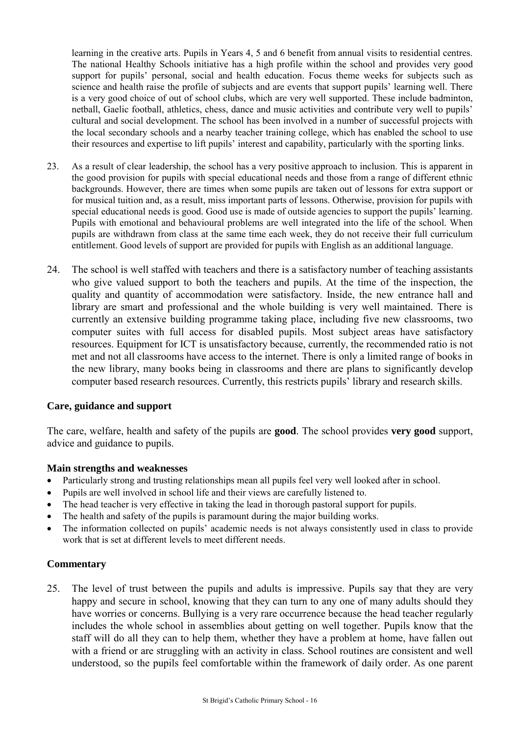learning in the creative arts. Pupils in Years 4, 5 and 6 benefit from annual visits to residential centres. The national Healthy Schools initiative has a high profile within the school and provides very good support for pupils' personal, social and health education. Focus theme weeks for subjects such as science and health raise the profile of subjects and are events that support pupils' learning well. There is a very good choice of out of school clubs, which are very well supported. These include badminton, netball, Gaelic football, athletics, chess, dance and music activities and contribute very well to pupils' cultural and social development. The school has been involved in a number of successful projects with the local secondary schools and a nearby teacher training college, which has enabled the school to use their resources and expertise to lift pupils' interest and capability, particularly with the sporting links.

- 23. As a result of clear leadership, the school has a very positive approach to inclusion. This is apparent in the good provision for pupils with special educational needs and those from a range of different ethnic backgrounds. However, there are times when some pupils are taken out of lessons for extra support or for musical tuition and, as a result, miss important parts of lessons. Otherwise, provision for pupils with special educational needs is good. Good use is made of outside agencies to support the pupils' learning. Pupils with emotional and behavioural problems are well integrated into the life of the school. When pupils are withdrawn from class at the same time each week, they do not receive their full curriculum entitlement. Good levels of support are provided for pupils with English as an additional language.
- 24. The school is well staffed with teachers and there is a satisfactory number of teaching assistants who give valued support to both the teachers and pupils. At the time of the inspection, the quality and quantity of accommodation were satisfactory. Inside, the new entrance hall and library are smart and professional and the whole building is very well maintained. There is currently an extensive building programme taking place, including five new classrooms, two computer suites with full access for disabled pupils. Most subject areas have satisfactory resources. Equipment for ICT is unsatisfactory because, currently, the recommended ratio is not met and not all classrooms have access to the internet. There is only a limited range of books in the new library, many books being in classrooms and there are plans to significantly develop computer based research resources. Currently, this restricts pupils' library and research skills.

#### **Care, guidance and support**

The care, welfare, health and safety of the pupils are **good**. The school provides **very good** support, advice and guidance to pupils.

#### **Main strengths and weaknesses**

- Particularly strong and trusting relationships mean all pupils feel very well looked after in school.
- Pupils are well involved in school life and their views are carefully listened to.
- The head teacher is very effective in taking the lead in thorough pastoral support for pupils.
- The health and safety of the pupils is paramount during the major building works.
- The information collected on pupils' academic needs is not always consistently used in class to provide work that is set at different levels to meet different needs.

#### **Commentary**

25. The level of trust between the pupils and adults is impressive. Pupils say that they are very happy and secure in school, knowing that they can turn to any one of many adults should they have worries or concerns. Bullying is a very rare occurrence because the head teacher regularly includes the whole school in assemblies about getting on well together. Pupils know that the staff will do all they can to help them, whether they have a problem at home, have fallen out with a friend or are struggling with an activity in class. School routines are consistent and well understood, so the pupils feel comfortable within the framework of daily order. As one parent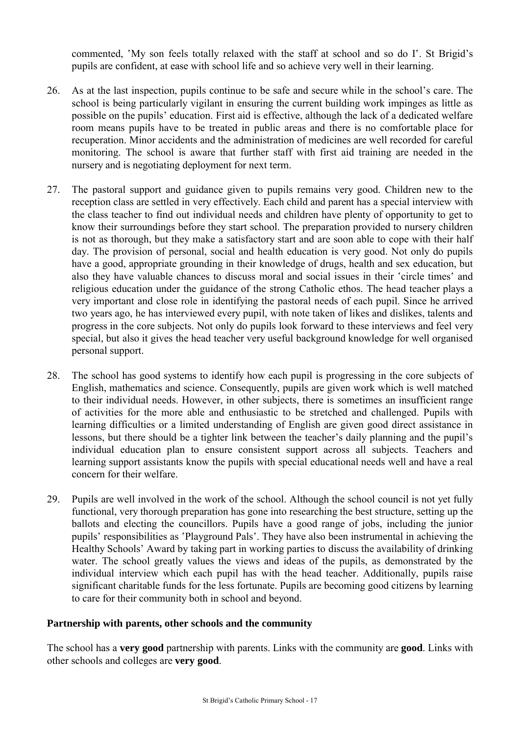commented, 'My son feels totally relaxed with the staff at school and so do I'. St Brigid's pupils are confident, at ease with school life and so achieve very well in their learning.

- 26. As at the last inspection, pupils continue to be safe and secure while in the school's care. The school is being particularly vigilant in ensuring the current building work impinges as little as possible on the pupils' education. First aid is effective, although the lack of a dedicated welfare room means pupils have to be treated in public areas and there is no comfortable place for recuperation. Minor accidents and the administration of medicines are well recorded for careful monitoring. The school is aware that further staff with first aid training are needed in the nursery and is negotiating deployment for next term.
- 27. The pastoral support and guidance given to pupils remains very good. Children new to the reception class are settled in very effectively. Each child and parent has a special interview with the class teacher to find out individual needs and children have plenty of opportunity to get to know their surroundings before they start school. The preparation provided to nursery children is not as thorough, but they make a satisfactory start and are soon able to cope with their half day. The provision of personal, social and health education is very good. Not only do pupils have a good, appropriate grounding in their knowledge of drugs, health and sex education, but also they have valuable chances to discuss moral and social issues in their 'circle times' and religious education under the guidance of the strong Catholic ethos. The head teacher plays a very important and close role in identifying the pastoral needs of each pupil. Since he arrived two years ago, he has interviewed every pupil, with note taken of likes and dislikes, talents and progress in the core subjects. Not only do pupils look forward to these interviews and feel very special, but also it gives the head teacher very useful background knowledge for well organised personal support.
- 28. The school has good systems to identify how each pupil is progressing in the core subjects of English, mathematics and science. Consequently, pupils are given work which is well matched to their individual needs. However, in other subjects, there is sometimes an insufficient range of activities for the more able and enthusiastic to be stretched and challenged. Pupils with learning difficulties or a limited understanding of English are given good direct assistance in lessons, but there should be a tighter link between the teacher's daily planning and the pupil's individual education plan to ensure consistent support across all subjects. Teachers and learning support assistants know the pupils with special educational needs well and have a real concern for their welfare.
- 29. Pupils are well involved in the work of the school. Although the school council is not yet fully functional, very thorough preparation has gone into researching the best structure, setting up the ballots and electing the councillors. Pupils have a good range of jobs, including the junior pupils' responsibilities as 'Playground Pals'. They have also been instrumental in achieving the Healthy Schools' Award by taking part in working parties to discuss the availability of drinking water. The school greatly values the views and ideas of the pupils, as demonstrated by the individual interview which each pupil has with the head teacher. Additionally, pupils raise significant charitable funds for the less fortunate. Pupils are becoming good citizens by learning to care for their community both in school and beyond.

## **Partnership with parents, other schools and the community**

The school has a **very good** partnership with parents. Links with the community are **good**. Links with other schools and colleges are **very good**.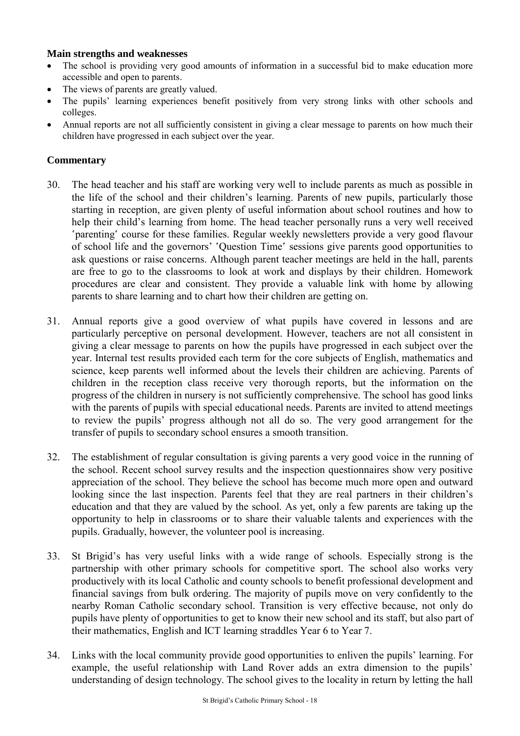#### **Main strengths and weaknesses**

- The school is providing very good amounts of information in a successful bid to make education more accessible and open to parents.
- The views of parents are greatly valued.
- The pupils' learning experiences benefit positively from very strong links with other schools and colleges.
- Annual reports are not all sufficiently consistent in giving a clear message to parents on how much their children have progressed in each subject over the year.

- 30. The head teacher and his staff are working very well to include parents as much as possible in the life of the school and their children's learning. Parents of new pupils, particularly those starting in reception, are given plenty of useful information about school routines and how to help their child's learning from home. The head teacher personally runs a very well received 'parenting' course for these families. Regular weekly newsletters provide a very good flavour of school life and the governors' 'Question Time' sessions give parents good opportunities to ask questions or raise concerns. Although parent teacher meetings are held in the hall, parents are free to go to the classrooms to look at work and displays by their children. Homework procedures are clear and consistent. They provide a valuable link with home by allowing parents to share learning and to chart how their children are getting on.
- 31. Annual reports give a good overview of what pupils have covered in lessons and are particularly perceptive on personal development. However, teachers are not all consistent in giving a clear message to parents on how the pupils have progressed in each subject over the year. Internal test results provided each term for the core subjects of English, mathematics and science, keep parents well informed about the levels their children are achieving. Parents of children in the reception class receive very thorough reports, but the information on the progress of the children in nursery is not sufficiently comprehensive. The school has good links with the parents of pupils with special educational needs. Parents are invited to attend meetings to review the pupils' progress although not all do so. The very good arrangement for the transfer of pupils to secondary school ensures a smooth transition.
- 32. The establishment of regular consultation is giving parents a very good voice in the running of the school. Recent school survey results and the inspection questionnaires show very positive appreciation of the school. They believe the school has become much more open and outward looking since the last inspection. Parents feel that they are real partners in their children's education and that they are valued by the school. As yet, only a few parents are taking up the opportunity to help in classrooms or to share their valuable talents and experiences with the pupils. Gradually, however, the volunteer pool is increasing.
- 33. St Brigid's has very useful links with a wide range of schools. Especially strong is the partnership with other primary schools for competitive sport. The school also works very productively with its local Catholic and county schools to benefit professional development and financial savings from bulk ordering. The majority of pupils move on very confidently to the nearby Roman Catholic secondary school. Transition is very effective because, not only do pupils have plenty of opportunities to get to know their new school and its staff, but also part of their mathematics, English and ICT learning straddles Year 6 to Year 7.
- 34. Links with the local community provide good opportunities to enliven the pupils' learning. For example, the useful relationship with Land Rover adds an extra dimension to the pupils' understanding of design technology. The school gives to the locality in return by letting the hall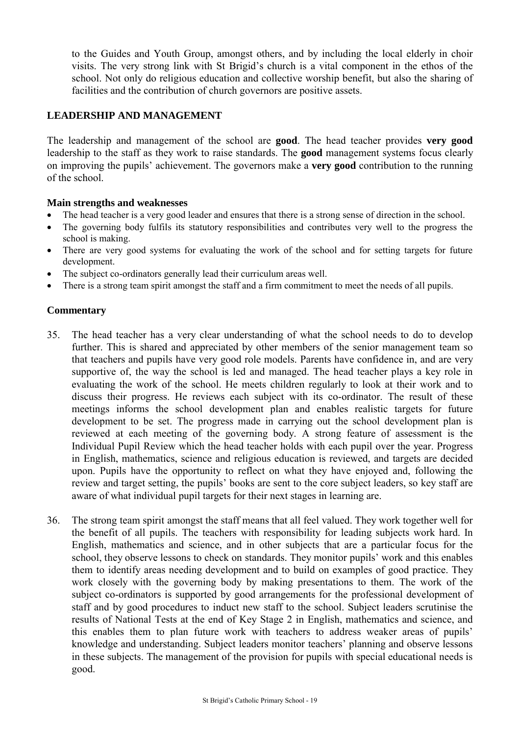to the Guides and Youth Group, amongst others, and by including the local elderly in choir visits. The very strong link with St Brigid's church is a vital component in the ethos of the school. Not only do religious education and collective worship benefit, but also the sharing of facilities and the contribution of church governors are positive assets.

## **LEADERSHIP AND MANAGEMENT**

The leadership and management of the school are **good**. The head teacher provides **very good** leadership to the staff as they work to raise standards. The **good** management systems focus clearly on improving the pupils' achievement. The governors make a **very good** contribution to the running of the school.

#### **Main strengths and weaknesses**

- The head teacher is a very good leader and ensures that there is a strong sense of direction in the school.
- The governing body fulfils its statutory responsibilities and contributes very well to the progress the school is making.
- There are very good systems for evaluating the work of the school and for setting targets for future development.
- The subject co-ordinators generally lead their curriculum areas well.
- There is a strong team spirit amongst the staff and a firm commitment to meet the needs of all pupils.

- 35. The head teacher has a very clear understanding of what the school needs to do to develop further. This is shared and appreciated by other members of the senior management team so that teachers and pupils have very good role models. Parents have confidence in, and are very supportive of, the way the school is led and managed. The head teacher plays a key role in evaluating the work of the school. He meets children regularly to look at their work and to discuss their progress. He reviews each subject with its co-ordinator. The result of these meetings informs the school development plan and enables realistic targets for future development to be set. The progress made in carrying out the school development plan is reviewed at each meeting of the governing body. A strong feature of assessment is the Individual Pupil Review which the head teacher holds with each pupil over the year. Progress in English, mathematics, science and religious education is reviewed, and targets are decided upon. Pupils have the opportunity to reflect on what they have enjoyed and, following the review and target setting, the pupils' books are sent to the core subject leaders, so key staff are aware of what individual pupil targets for their next stages in learning are.
- 36. The strong team spirit amongst the staff means that all feel valued. They work together well for the benefit of all pupils. The teachers with responsibility for leading subjects work hard. In English, mathematics and science, and in other subjects that are a particular focus for the school, they observe lessons to check on standards. They monitor pupils' work and this enables them to identify areas needing development and to build on examples of good practice. They work closely with the governing body by making presentations to them. The work of the subject co-ordinators is supported by good arrangements for the professional development of staff and by good procedures to induct new staff to the school. Subject leaders scrutinise the results of National Tests at the end of Key Stage 2 in English, mathematics and science, and this enables them to plan future work with teachers to address weaker areas of pupils' knowledge and understanding. Subject leaders monitor teachers' planning and observe lessons in these subjects. The management of the provision for pupils with special educational needs is good.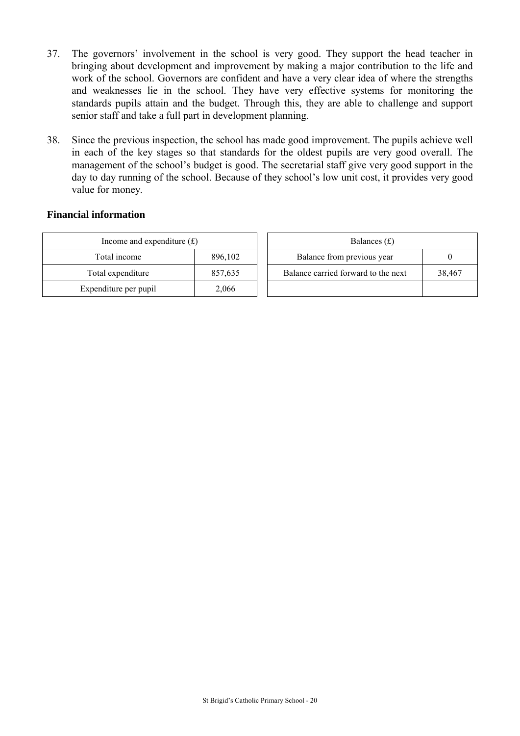- 37. The governors' involvement in the school is very good. They support the head teacher in bringing about development and improvement by making a major contribution to the life and work of the school. Governors are confident and have a very clear idea of where the strengths and weaknesses lie in the school. They have very effective systems for monitoring the standards pupils attain and the budget. Through this, they are able to challenge and support senior staff and take a full part in development planning.
- 38. Since the previous inspection, the school has made good improvement. The pupils achieve well in each of the key stages so that standards for the oldest pupils are very good overall. The management of the school's budget is good. The secretarial staff give very good support in the day to day running of the school. Because of they school's low unit cost, it provides very good value for money.

#### **Financial information**

| Income and expenditure $(f)$ |         |  | Balances $(f)$                   |
|------------------------------|---------|--|----------------------------------|
| Total income                 | 896,102 |  | Balance from previous year       |
| Total expenditure            | 857,635 |  | Balance carried forward to the r |
| Expenditure per pupil        | 2,066   |  |                                  |

| Income and expenditure $(f)$ |         | Balances $(f)$                      |        |  |  |
|------------------------------|---------|-------------------------------------|--------|--|--|
| Total income                 | 896,102 | Balance from previous year          |        |  |  |
| Total expenditure            | 857,635 | Balance carried forward to the next | 38.467 |  |  |
| xpenditure per pupil         | 2,066   |                                     |        |  |  |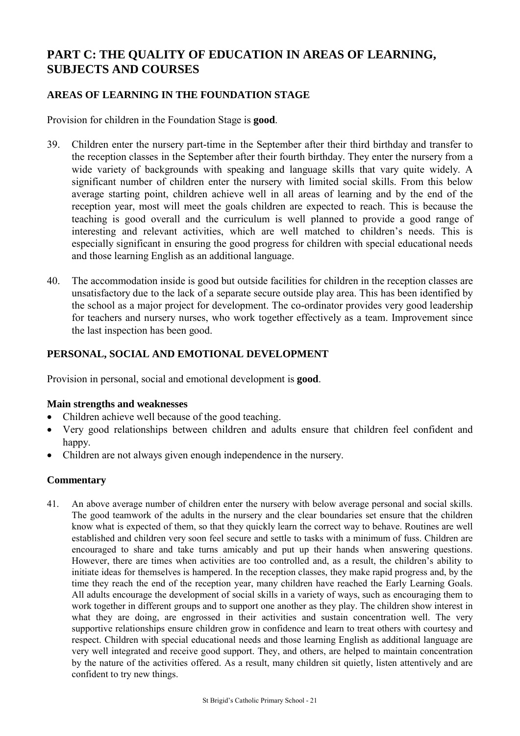# **PART C: THE QUALITY OF EDUCATION IN AREAS OF LEARNING, SUBJECTS AND COURSES**

## **AREAS OF LEARNING IN THE FOUNDATION STAGE**

Provision for children in the Foundation Stage is **good**.

- 39. Children enter the nursery part-time in the September after their third birthday and transfer to the reception classes in the September after their fourth birthday. They enter the nursery from a wide variety of backgrounds with speaking and language skills that vary quite widely. A significant number of children enter the nursery with limited social skills. From this below average starting point, children achieve well in all areas of learning and by the end of the reception year, most will meet the goals children are expected to reach. This is because the teaching is good overall and the curriculum is well planned to provide a good range of interesting and relevant activities, which are well matched to children's needs. This is especially significant in ensuring the good progress for children with special educational needs and those learning English as an additional language.
- 40. The accommodation inside is good but outside facilities for children in the reception classes are unsatisfactory due to the lack of a separate secure outside play area. This has been identified by the school as a major project for development. The co-ordinator provides very good leadership for teachers and nursery nurses, who work together effectively as a team. Improvement since the last inspection has been good.

## **PERSONAL, SOCIAL AND EMOTIONAL DEVELOPMENT**

Provision in personal, social and emotional development is **good**.

#### **Main strengths and weaknesses**

- Children achieve well because of the good teaching.
- Very good relationships between children and adults ensure that children feel confident and happy.
- Children are not always given enough independence in the nursery.

## **Commentary**

41. An above average number of children enter the nursery with below average personal and social skills. The good teamwork of the adults in the nursery and the clear boundaries set ensure that the children know what is expected of them, so that they quickly learn the correct way to behave. Routines are well established and children very soon feel secure and settle to tasks with a minimum of fuss. Children are encouraged to share and take turns amicably and put up their hands when answering questions. However, there are times when activities are too controlled and, as a result, the children's ability to initiate ideas for themselves is hampered. In the reception classes, they make rapid progress and, by the time they reach the end of the reception year, many children have reached the Early Learning Goals. All adults encourage the development of social skills in a variety of ways, such as encouraging them to work together in different groups and to support one another as they play. The children show interest in what they are doing, are engrossed in their activities and sustain concentration well. The very supportive relationships ensure children grow in confidence and learn to treat others with courtesy and respect. Children with special educational needs and those learning English as additional language are very well integrated and receive good support. They, and others, are helped to maintain concentration by the nature of the activities offered. As a result, many children sit quietly, listen attentively and are confident to try new things.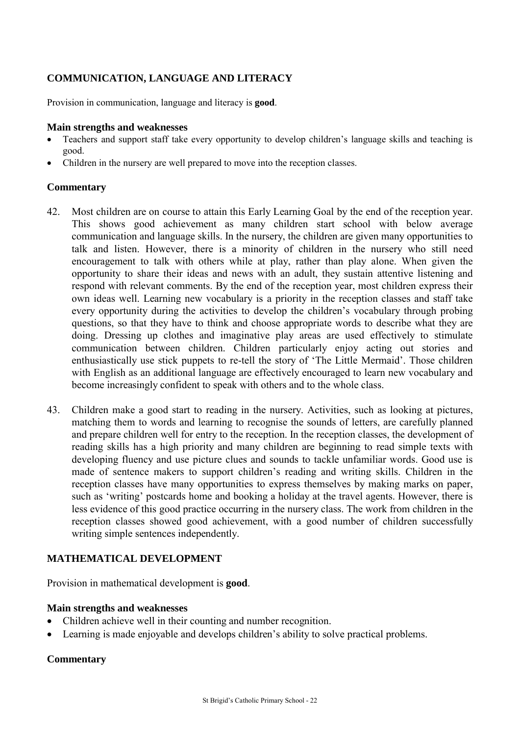## **COMMUNICATION, LANGUAGE AND LITERACY**

Provision in communication, language and literacy is **good**.

#### **Main strengths and weaknesses**

- Teachers and support staff take every opportunity to develop children's language skills and teaching is good.
- Children in the nursery are well prepared to move into the reception classes.

#### **Commentary**

- 42. Most children are on course to attain this Early Learning Goal by the end of the reception year. This shows good achievement as many children start school with below average communication and language skills. In the nursery, the children are given many opportunities to talk and listen. However, there is a minority of children in the nursery who still need encouragement to talk with others while at play, rather than play alone. When given the opportunity to share their ideas and news with an adult, they sustain attentive listening and respond with relevant comments. By the end of the reception year, most children express their own ideas well. Learning new vocabulary is a priority in the reception classes and staff take every opportunity during the activities to develop the children's vocabulary through probing questions, so that they have to think and choose appropriate words to describe what they are doing. Dressing up clothes and imaginative play areas are used effectively to stimulate communication between children. Children particularly enjoy acting out stories and enthusiastically use stick puppets to re-tell the story of 'The Little Mermaid'. Those children with English as an additional language are effectively encouraged to learn new vocabulary and become increasingly confident to speak with others and to the whole class.
- 43. Children make a good start to reading in the nursery. Activities, such as looking at pictures, matching them to words and learning to recognise the sounds of letters, are carefully planned and prepare children well for entry to the reception. In the reception classes, the development of reading skills has a high priority and many children are beginning to read simple texts with developing fluency and use picture clues and sounds to tackle unfamiliar words. Good use is made of sentence makers to support children's reading and writing skills. Children in the reception classes have many opportunities to express themselves by making marks on paper, such as 'writing' postcards home and booking a holiday at the travel agents. However, there is less evidence of this good practice occurring in the nursery class. The work from children in the reception classes showed good achievement, with a good number of children successfully writing simple sentences independently.

## **MATHEMATICAL DEVELOPMENT**

Provision in mathematical development is **good**.

#### **Main strengths and weaknesses**

- Children achieve well in their counting and number recognition.
- Learning is made enjoyable and develops children's ability to solve practical problems.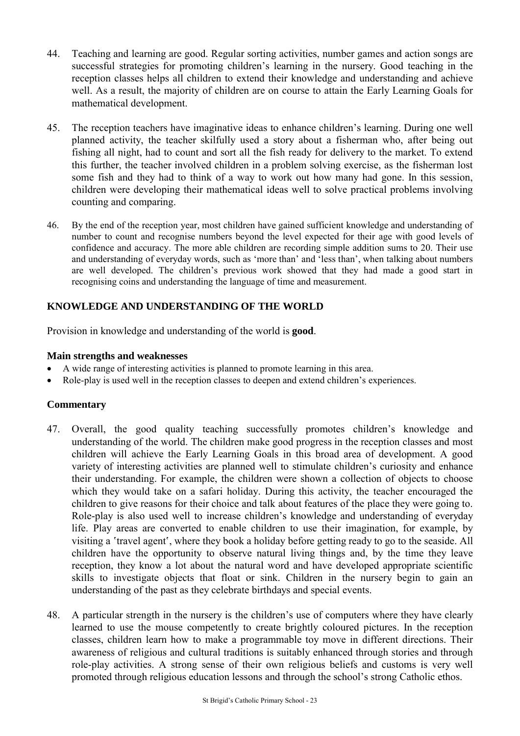- 44. Teaching and learning are good. Regular sorting activities, number games and action songs are successful strategies for promoting children's learning in the nursery. Good teaching in the reception classes helps all children to extend their knowledge and understanding and achieve well. As a result, the majority of children are on course to attain the Early Learning Goals for mathematical development.
- 45. The reception teachers have imaginative ideas to enhance children's learning. During one well planned activity, the teacher skilfully used a story about a fisherman who, after being out fishing all night, had to count and sort all the fish ready for delivery to the market. To extend this further, the teacher involved children in a problem solving exercise, as the fisherman lost some fish and they had to think of a way to work out how many had gone. In this session, children were developing their mathematical ideas well to solve practical problems involving counting and comparing.
- 46. By the end of the reception year, most children have gained sufficient knowledge and understanding of number to count and recognise numbers beyond the level expected for their age with good levels of confidence and accuracy. The more able children are recording simple addition sums to 20. Their use and understanding of everyday words, such as 'more than' and 'less than', when talking about numbers are well developed. The children's previous work showed that they had made a good start in recognising coins and understanding the language of time and measurement.

## **KNOWLEDGE AND UNDERSTANDING OF THE WORLD**

Provision in knowledge and understanding of the world is **good**.

#### **Main strengths and weaknesses**

- A wide range of interesting activities is planned to promote learning in this area.
- Role-play is used well in the reception classes to deepen and extend children's experiences.

- 47. Overall, the good quality teaching successfully promotes children's knowledge and understanding of the world. The children make good progress in the reception classes and most children will achieve the Early Learning Goals in this broad area of development. A good variety of interesting activities are planned well to stimulate children's curiosity and enhance their understanding. For example, the children were shown a collection of objects to choose which they would take on a safari holiday. During this activity, the teacher encouraged the children to give reasons for their choice and talk about features of the place they were going to. Role-play is also used well to increase children's knowledge and understanding of everyday life. Play areas are converted to enable children to use their imagination, for example, by visiting a 'travel agent', where they book a holiday before getting ready to go to the seaside. All children have the opportunity to observe natural living things and, by the time they leave reception, they know a lot about the natural word and have developed appropriate scientific skills to investigate objects that float or sink. Children in the nursery begin to gain an understanding of the past as they celebrate birthdays and special events.
- 48. A particular strength in the nursery is the children's use of computers where they have clearly learned to use the mouse competently to create brightly coloured pictures. In the reception classes, children learn how to make a programmable toy move in different directions. Their awareness of religious and cultural traditions is suitably enhanced through stories and through role-play activities. A strong sense of their own religious beliefs and customs is very well promoted through religious education lessons and through the school's strong Catholic ethos.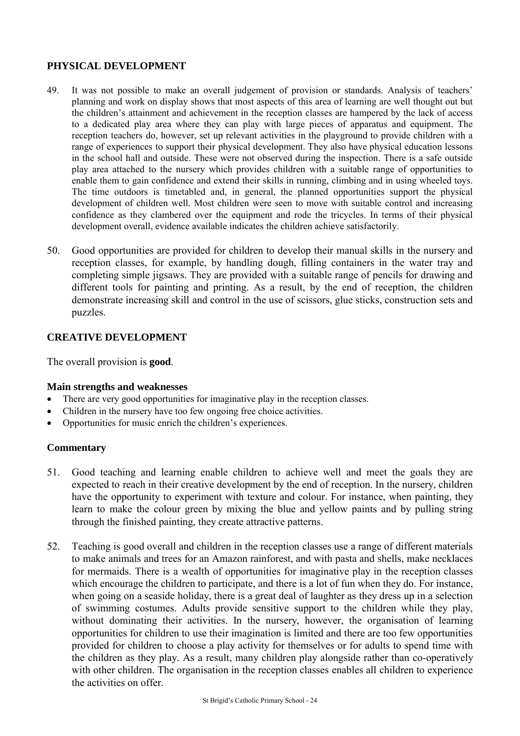## **PHYSICAL DEVELOPMENT**

- 49. It was not possible to make an overall judgement of provision or standards. Analysis of teachers' planning and work on display shows that most aspects of this area of learning are well thought out but the children's attainment and achievement in the reception classes are hampered by the lack of access to a dedicated play area where they can play with large pieces of apparatus and equipment. The reception teachers do, however, set up relevant activities in the playground to provide children with a range of experiences to support their physical development. They also have physical education lessons in the school hall and outside. These were not observed during the inspection. There is a safe outside play area attached to the nursery which provides children with a suitable range of opportunities to enable them to gain confidence and extend their skills in running, climbing and in using wheeled toys. The time outdoors is timetabled and, in general, the planned opportunities support the physical development of children well. Most children were seen to move with suitable control and increasing confidence as they clambered over the equipment and rode the tricycles. In terms of their physical development overall, evidence available indicates the children achieve satisfactorily.
- 50. Good opportunities are provided for children to develop their manual skills in the nursery and reception classes, for example, by handling dough, filling containers in the water tray and completing simple jigsaws. They are provided with a suitable range of pencils for drawing and different tools for painting and printing. As a result, by the end of reception, the children demonstrate increasing skill and control in the use of scissors, glue sticks, construction sets and puzzles.

## **CREATIVE DEVELOPMENT**

The overall provision is **good**.

#### **Main strengths and weaknesses**

- There are very good opportunities for imaginative play in the reception classes.
- Children in the nursery have too few ongoing free choice activities.
- Opportunities for music enrich the children's experiences.

- 51. Good teaching and learning enable children to achieve well and meet the goals they are expected to reach in their creative development by the end of reception. In the nursery, children have the opportunity to experiment with texture and colour. For instance, when painting, they learn to make the colour green by mixing the blue and yellow paints and by pulling string through the finished painting, they create attractive patterns.
- 52. Teaching is good overall and children in the reception classes use a range of different materials to make animals and trees for an Amazon rainforest, and with pasta and shells, make necklaces for mermaids. There is a wealth of opportunities for imaginative play in the reception classes which encourage the children to participate, and there is a lot of fun when they do. For instance, when going on a seaside holiday, there is a great deal of laughter as they dress up in a selection of swimming costumes. Adults provide sensitive support to the children while they play, without dominating their activities. In the nursery, however, the organisation of learning opportunities for children to use their imagination is limited and there are too few opportunities provided for children to choose a play activity for themselves or for adults to spend time with the children as they play. As a result, many children play alongside rather than co-operatively with other children. The organisation in the reception classes enables all children to experience the activities on offer.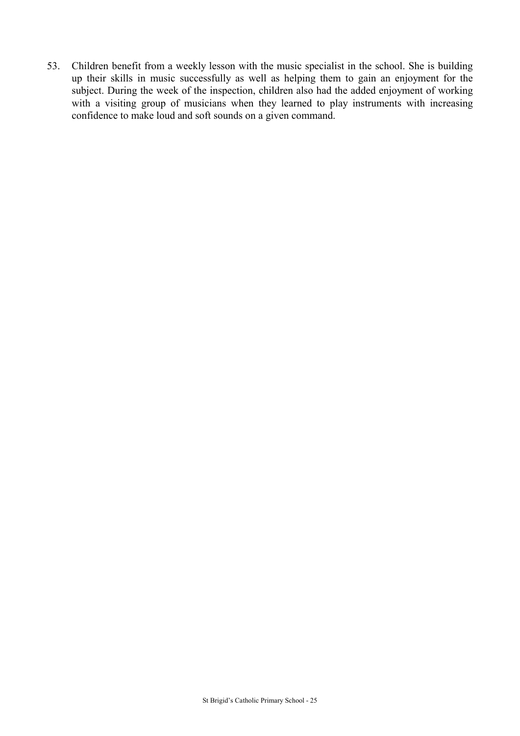53. Children benefit from a weekly lesson with the music specialist in the school. She is building up their skills in music successfully as well as helping them to gain an enjoyment for the subject. During the week of the inspection, children also had the added enjoyment of working with a visiting group of musicians when they learned to play instruments with increasing confidence to make loud and soft sounds on a given command.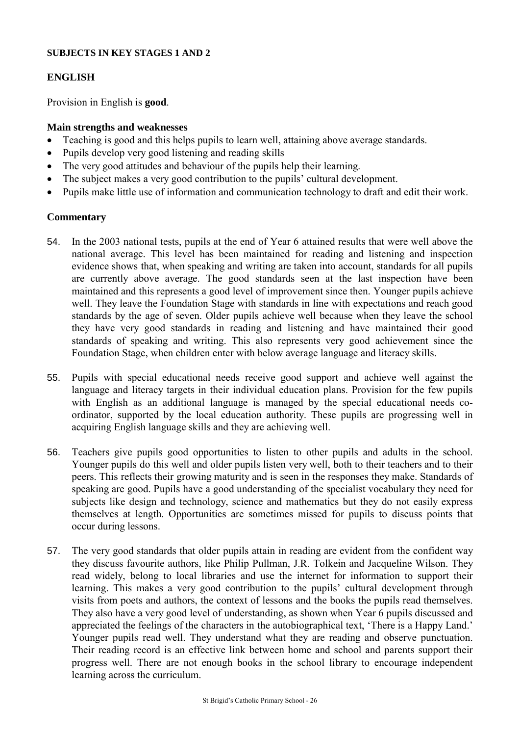#### **SUBJECTS IN KEY STAGES 1 AND 2**

#### **ENGLISH**

Provision in English is **good**.

#### **Main strengths and weaknesses**

- Teaching is good and this helps pupils to learn well, attaining above average standards.
- Pupils develop very good listening and reading skills
- The very good attitudes and behaviour of the pupils help their learning.
- The subject makes a very good contribution to the pupils' cultural development.
- Pupils make little use of information and communication technology to draft and edit their work.

- 54. In the 2003 national tests, pupils at the end of Year 6 attained results that were well above the national average. This level has been maintained for reading and listening and inspection evidence shows that, when speaking and writing are taken into account, standards for all pupils are currently above average. The good standards seen at the last inspection have been maintained and this represents a good level of improvement since then. Younger pupils achieve well. They leave the Foundation Stage with standards in line with expectations and reach good standards by the age of seven. Older pupils achieve well because when they leave the school they have very good standards in reading and listening and have maintained their good standards of speaking and writing. This also represents very good achievement since the Foundation Stage, when children enter with below average language and literacy skills.
- 55. Pupils with special educational needs receive good support and achieve well against the language and literacy targets in their individual education plans. Provision for the few pupils with English as an additional language is managed by the special educational needs coordinator, supported by the local education authority. These pupils are progressing well in acquiring English language skills and they are achieving well.
- 56. Teachers give pupils good opportunities to listen to other pupils and adults in the school. Younger pupils do this well and older pupils listen very well, both to their teachers and to their peers. This reflects their growing maturity and is seen in the responses they make. Standards of speaking are good. Pupils have a good understanding of the specialist vocabulary they need for subjects like design and technology, science and mathematics but they do not easily express themselves at length. Opportunities are sometimes missed for pupils to discuss points that occur during lessons.
- 57. The very good standards that older pupils attain in reading are evident from the confident way they discuss favourite authors, like Philip Pullman, J.R. Tolkein and Jacqueline Wilson. They read widely, belong to local libraries and use the internet for information to support their learning. This makes a very good contribution to the pupils' cultural development through visits from poets and authors, the context of lessons and the books the pupils read themselves. They also have a very good level of understanding, as shown when Year 6 pupils discussed and appreciated the feelings of the characters in the autobiographical text, 'There is a Happy Land.' Younger pupils read well. They understand what they are reading and observe punctuation. Their reading record is an effective link between home and school and parents support their progress well. There are not enough books in the school library to encourage independent learning across the curriculum.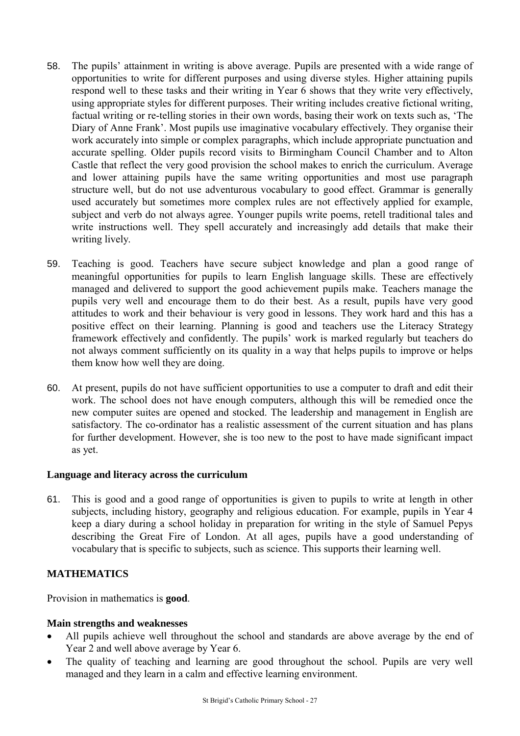- 58. The pupils' attainment in writing is above average. Pupils are presented with a wide range of opportunities to write for different purposes and using diverse styles. Higher attaining pupils respond well to these tasks and their writing in Year 6 shows that they write very effectively, using appropriate styles for different purposes. Their writing includes creative fictional writing, factual writing or re-telling stories in their own words, basing their work on texts such as, 'The Diary of Anne Frank'. Most pupils use imaginative vocabulary effectively. They organise their work accurately into simple or complex paragraphs, which include appropriate punctuation and accurate spelling. Older pupils record visits to Birmingham Council Chamber and to Alton Castle that reflect the very good provision the school makes to enrich the curriculum. Average and lower attaining pupils have the same writing opportunities and most use paragraph structure well, but do not use adventurous vocabulary to good effect. Grammar is generally used accurately but sometimes more complex rules are not effectively applied for example, subject and verb do not always agree. Younger pupils write poems, retell traditional tales and write instructions well. They spell accurately and increasingly add details that make their writing lively.
- 59. Teaching is good. Teachers have secure subject knowledge and plan a good range of meaningful opportunities for pupils to learn English language skills. These are effectively managed and delivered to support the good achievement pupils make. Teachers manage the pupils very well and encourage them to do their best. As a result, pupils have very good attitudes to work and their behaviour is very good in lessons. They work hard and this has a positive effect on their learning. Planning is good and teachers use the Literacy Strategy framework effectively and confidently. The pupils' work is marked regularly but teachers do not always comment sufficiently on its quality in a way that helps pupils to improve or helps them know how well they are doing.
- 60. At present, pupils do not have sufficient opportunities to use a computer to draft and edit their work. The school does not have enough computers, although this will be remedied once the new computer suites are opened and stocked. The leadership and management in English are satisfactory. The co-ordinator has a realistic assessment of the current situation and has plans for further development. However, she is too new to the post to have made significant impact as yet.

## **Language and literacy across the curriculum**

61. This is good and a good range of opportunities is given to pupils to write at length in other subjects, including history, geography and religious education. For example, pupils in Year 4 keep a diary during a school holiday in preparation for writing in the style of Samuel Pepys describing the Great Fire of London. At all ages, pupils have a good understanding of vocabulary that is specific to subjects, such as science. This supports their learning well.

## **MATHEMATICS**

Provision in mathematics is **good**.

## **Main strengths and weaknesses**

- All pupils achieve well throughout the school and standards are above average by the end of Year 2 and well above average by Year 6.
- The quality of teaching and learning are good throughout the school. Pupils are very well managed and they learn in a calm and effective learning environment.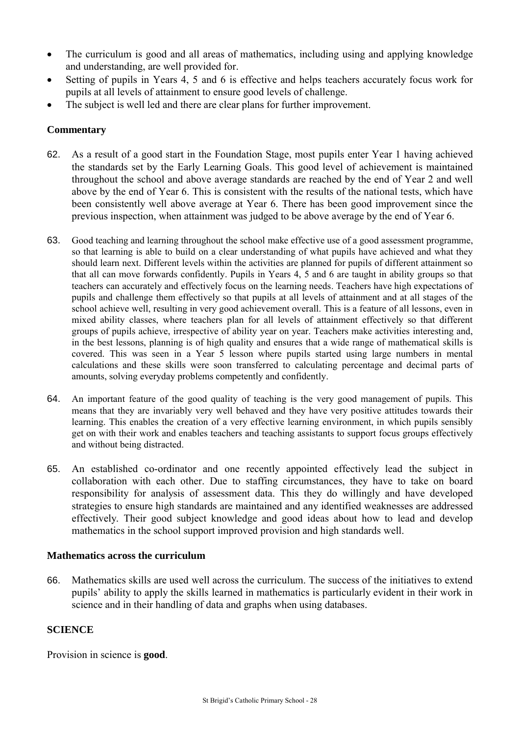- The curriculum is good and all areas of mathematics, including using and applying knowledge and understanding, are well provided for.
- Setting of pupils in Years 4, 5 and 6 is effective and helps teachers accurately focus work for pupils at all levels of attainment to ensure good levels of challenge.
- The subject is well led and there are clear plans for further improvement.

## **Commentary**

- 62. As a result of a good start in the Foundation Stage, most pupils enter Year 1 having achieved the standards set by the Early Learning Goals. This good level of achievement is maintained throughout the school and above average standards are reached by the end of Year 2 and well above by the end of Year 6. This is consistent with the results of the national tests, which have been consistently well above average at Year 6. There has been good improvement since the previous inspection, when attainment was judged to be above average by the end of Year 6.
- 63. Good teaching and learning throughout the school make effective use of a good assessment programme, so that learning is able to build on a clear understanding of what pupils have achieved and what they should learn next. Different levels within the activities are planned for pupils of different attainment so that all can move forwards confidently. Pupils in Years 4, 5 and 6 are taught in ability groups so that teachers can accurately and effectively focus on the learning needs. Teachers have high expectations of pupils and challenge them effectively so that pupils at all levels of attainment and at all stages of the school achieve well, resulting in very good achievement overall. This is a feature of all lessons, even in mixed ability classes, where teachers plan for all levels of attainment effectively so that different groups of pupils achieve, irrespective of ability year on year. Teachers make activities interesting and, in the best lessons, planning is of high quality and ensures that a wide range of mathematical skills is covered. This was seen in a Year 5 lesson where pupils started using large numbers in mental calculations and these skills were soon transferred to calculating percentage and decimal parts of amounts, solving everyday problems competently and confidently.
- 64. An important feature of the good quality of teaching is the very good management of pupils. This means that they are invariably very well behaved and they have very positive attitudes towards their learning. This enables the creation of a very effective learning environment, in which pupils sensibly get on with their work and enables teachers and teaching assistants to support focus groups effectively and without being distracted.
- 65. An established co-ordinator and one recently appointed effectively lead the subject in collaboration with each other. Due to staffing circumstances, they have to take on board responsibility for analysis of assessment data. This they do willingly and have developed strategies to ensure high standards are maintained and any identified weaknesses are addressed effectively. Their good subject knowledge and good ideas about how to lead and develop mathematics in the school support improved provision and high standards well.

## **Mathematics across the curriculum**

66. Mathematics skills are used well across the curriculum. The success of the initiatives to extend pupils' ability to apply the skills learned in mathematics is particularly evident in their work in science and in their handling of data and graphs when using databases.

## **SCIENCE**

Provision in science is **good**.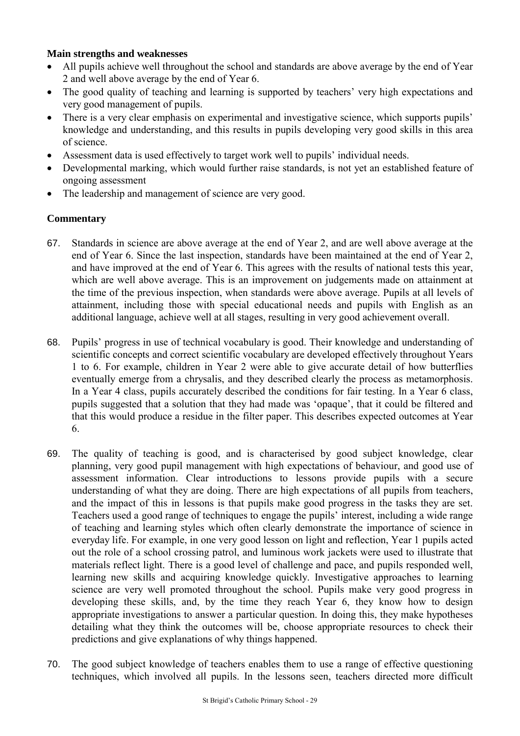#### **Main strengths and weaknesses**

- All pupils achieve well throughout the school and standards are above average by the end of Year 2 and well above average by the end of Year 6.
- The good quality of teaching and learning is supported by teachers' very high expectations and very good management of pupils.
- There is a very clear emphasis on experimental and investigative science, which supports pupils' knowledge and understanding, and this results in pupils developing very good skills in this area of science.
- Assessment data is used effectively to target work well to pupils' individual needs.
- Developmental marking, which would further raise standards, is not yet an established feature of ongoing assessment
- The leadership and management of science are very good.

- 67. Standards in science are above average at the end of Year 2, and are well above average at the end of Year 6. Since the last inspection, standards have been maintained at the end of Year 2, and have improved at the end of Year 6. This agrees with the results of national tests this year, which are well above average. This is an improvement on judgements made on attainment at the time of the previous inspection, when standards were above average. Pupils at all levels of attainment, including those with special educational needs and pupils with English as an additional language, achieve well at all stages, resulting in very good achievement overall.
- 68. Pupils' progress in use of technical vocabulary is good. Their knowledge and understanding of scientific concepts and correct scientific vocabulary are developed effectively throughout Years 1 to 6. For example, children in Year 2 were able to give accurate detail of how butterflies eventually emerge from a chrysalis, and they described clearly the process as metamorphosis. In a Year 4 class, pupils accurately described the conditions for fair testing. In a Year 6 class, pupils suggested that a solution that they had made was 'opaque', that it could be filtered and that this would produce a residue in the filter paper. This describes expected outcomes at Year 6.
- 69. The quality of teaching is good, and is characterised by good subject knowledge, clear planning, very good pupil management with high expectations of behaviour, and good use of assessment information. Clear introductions to lessons provide pupils with a secure understanding of what they are doing. There are high expectations of all pupils from teachers, and the impact of this in lessons is that pupils make good progress in the tasks they are set. Teachers used a good range of techniques to engage the pupils' interest, including a wide range of teaching and learning styles which often clearly demonstrate the importance of science in everyday life. For example, in one very good lesson on light and reflection, Year 1 pupils acted out the role of a school crossing patrol, and luminous work jackets were used to illustrate that materials reflect light. There is a good level of challenge and pace, and pupils responded well, learning new skills and acquiring knowledge quickly. Investigative approaches to learning science are very well promoted throughout the school. Pupils make very good progress in developing these skills, and, by the time they reach Year 6, they know how to design appropriate investigations to answer a particular question. In doing this, they make hypotheses detailing what they think the outcomes will be, choose appropriate resources to check their predictions and give explanations of why things happened.
- 70. The good subject knowledge of teachers enables them to use a range of effective questioning techniques, which involved all pupils. In the lessons seen, teachers directed more difficult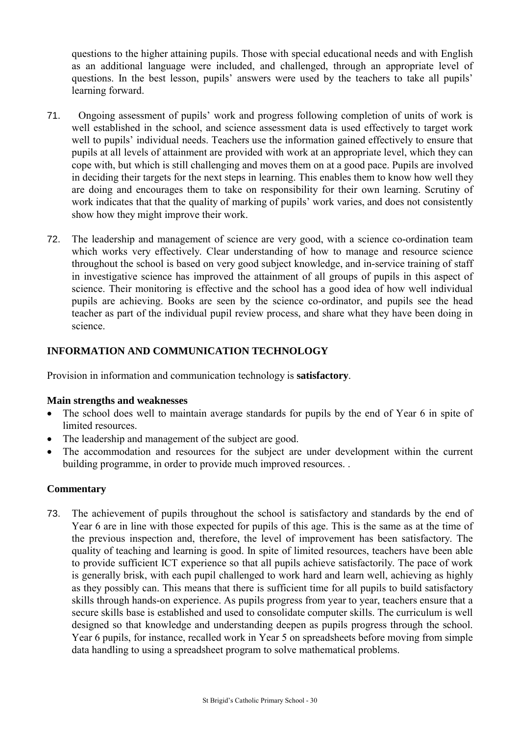questions to the higher attaining pupils. Those with special educational needs and with English as an additional language were included, and challenged, through an appropriate level of questions. In the best lesson, pupils' answers were used by the teachers to take all pupils' learning forward.

- 71. Ongoing assessment of pupils' work and progress following completion of units of work is well established in the school, and science assessment data is used effectively to target work well to pupils' individual needs. Teachers use the information gained effectively to ensure that pupils at all levels of attainment are provided with work at an appropriate level, which they can cope with, but which is still challenging and moves them on at a good pace. Pupils are involved in deciding their targets for the next steps in learning. This enables them to know how well they are doing and encourages them to take on responsibility for their own learning. Scrutiny of work indicates that that the quality of marking of pupils' work varies, and does not consistently show how they might improve their work.
- 72. The leadership and management of science are very good, with a science co-ordination team which works very effectively. Clear understanding of how to manage and resource science throughout the school is based on very good subject knowledge, and in-service training of staff in investigative science has improved the attainment of all groups of pupils in this aspect of science. Their monitoring is effective and the school has a good idea of how well individual pupils are achieving. Books are seen by the science co-ordinator, and pupils see the head teacher as part of the individual pupil review process, and share what they have been doing in science.

## **INFORMATION AND COMMUNICATION TECHNOLOGY**

Provision in information and communication technology is **satisfactory**.

#### **Main strengths and weaknesses**

- The school does well to maintain average standards for pupils by the end of Year 6 in spite of limited resources.
- The leadership and management of the subject are good.
- The accommodation and resources for the subject are under development within the current building programme, in order to provide much improved resources. .

## **Commentary**

73. The achievement of pupils throughout the school is satisfactory and standards by the end of Year 6 are in line with those expected for pupils of this age. This is the same as at the time of the previous inspection and, therefore, the level of improvement has been satisfactory. The quality of teaching and learning is good. In spite of limited resources, teachers have been able to provide sufficient ICT experience so that all pupils achieve satisfactorily. The pace of work is generally brisk, with each pupil challenged to work hard and learn well, achieving as highly as they possibly can. This means that there is sufficient time for all pupils to build satisfactory skills through hands-on experience. As pupils progress from year to year, teachers ensure that a secure skills base is established and used to consolidate computer skills. The curriculum is well designed so that knowledge and understanding deepen as pupils progress through the school. Year 6 pupils, for instance, recalled work in Year 5 on spreadsheets before moving from simple data handling to using a spreadsheet program to solve mathematical problems.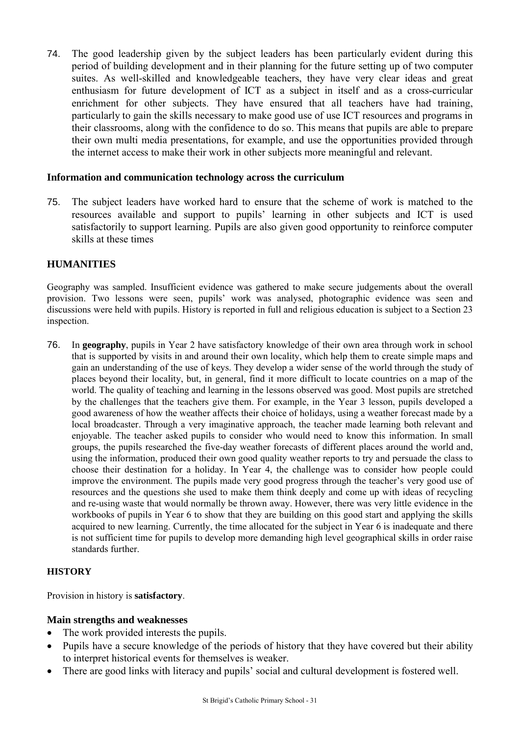74. The good leadership given by the subject leaders has been particularly evident during this period of building development and in their planning for the future setting up of two computer suites. As well-skilled and knowledgeable teachers, they have very clear ideas and great enthusiasm for future development of ICT as a subject in itself and as a cross-curricular enrichment for other subjects. They have ensured that all teachers have had training, particularly to gain the skills necessary to make good use of use ICT resources and programs in their classrooms, along with the confidence to do so. This means that pupils are able to prepare their own multi media presentations, for example, and use the opportunities provided through the internet access to make their work in other subjects more meaningful and relevant.

#### **Information and communication technology across the curriculum**

75. The subject leaders have worked hard to ensure that the scheme of work is matched to the resources available and support to pupils' learning in other subjects and ICT is used satisfactorily to support learning. Pupils are also given good opportunity to reinforce computer skills at these times

#### **HUMANITIES**

Geography was sampled. Insufficient evidence was gathered to make secure judgements about the overall provision. Two lessons were seen, pupils' work was analysed, photographic evidence was seen and discussions were held with pupils. History is reported in full and religious education is subject to a Section 23 inspection.

76. In **geography**, pupils in Year 2 have satisfactory knowledge of their own area through work in school that is supported by visits in and around their own locality, which help them to create simple maps and gain an understanding of the use of keys. They develop a wider sense of the world through the study of places beyond their locality, but, in general, find it more difficult to locate countries on a map of the world. The quality of teaching and learning in the lessons observed was good. Most pupils are stretched by the challenges that the teachers give them. For example, in the Year 3 lesson, pupils developed a good awareness of how the weather affects their choice of holidays, using a weather forecast made by a local broadcaster. Through a very imaginative approach, the teacher made learning both relevant and enjoyable. The teacher asked pupils to consider who would need to know this information. In small groups, the pupils researched the five-day weather forecasts of different places around the world and, using the information, produced their own good quality weather reports to try and persuade the class to choose their destination for a holiday. In Year 4, the challenge was to consider how people could improve the environment. The pupils made very good progress through the teacher's very good use of resources and the questions she used to make them think deeply and come up with ideas of recycling and re-using waste that would normally be thrown away. However, there was very little evidence in the workbooks of pupils in Year 6 to show that they are building on this good start and applying the skills acquired to new learning. Currently, the time allocated for the subject in Year 6 is inadequate and there is not sufficient time for pupils to develop more demanding high level geographical skills in order raise standards further.

#### **HISTORY**

Provision in history is **satisfactory**.

#### **Main strengths and weaknesses**

- The work provided interests the pupils.
- Pupils have a secure knowledge of the periods of history that they have covered but their ability to interpret historical events for themselves is weaker.
- There are good links with literacy and pupils' social and cultural development is fostered well.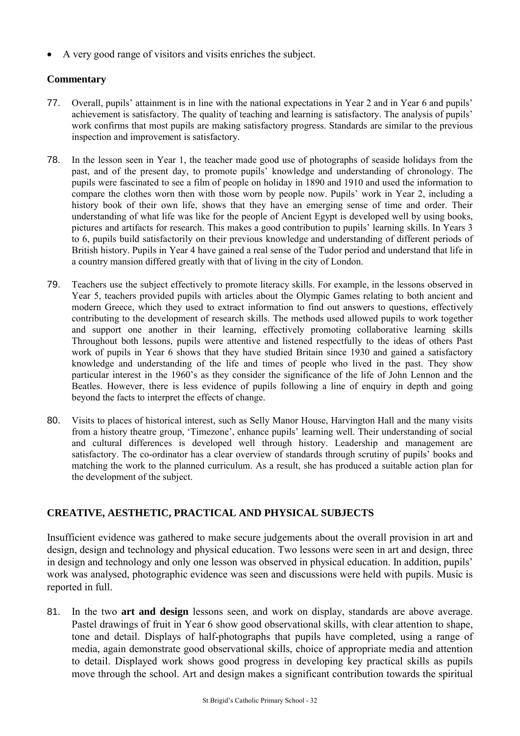A very good range of visitors and visits enriches the subject.

#### **Commentary**

- 77. Overall, pupils' attainment is in line with the national expectations in Year 2 and in Year 6 and pupils' achievement is satisfactory. The quality of teaching and learning is satisfactory. The analysis of pupils' work confirms that most pupils are making satisfactory progress. Standards are similar to the previous inspection and improvement is satisfactory.
- 78. In the lesson seen in Year 1, the teacher made good use of photographs of seaside holidays from the past, and of the present day, to promote pupils' knowledge and understanding of chronology. The pupils were fascinated to see a film of people on holiday in 1890 and 1910 and used the information to compare the clothes worn then with those worn by people now. Pupils' work in Year 2, including a history book of their own life, shows that they have an emerging sense of time and order. Their understanding of what life was like for the people of Ancient Egypt is developed well by using books, pictures and artifacts for research. This makes a good contribution to pupils' learning skills. In Years 3 to 6, pupils build satisfactorily on their previous knowledge and understanding of different periods of British history. Pupils in Year 4 have gained a real sense of the Tudor period and understand that life in a country mansion differed greatly with that of living in the city of London.
- 79. Teachers use the subject effectively to promote literacy skills. For example, in the lessons observed in Year 5, teachers provided pupils with articles about the Olympic Games relating to both ancient and modern Greece, which they used to extract information to find out answers to questions, effectively contributing to the development of research skills. The methods used allowed pupils to work together and support one another in their learning, effectively promoting collaborative learning skills Throughout both lessons, pupils were attentive and listened respectfully to the ideas of others Past work of pupils in Year 6 shows that they have studied Britain since 1930 and gained a satisfactory knowledge and understanding of the life and times of people who lived in the past. They show particular interest in the 1960's as they consider the significance of the life of John Lennon and the Beatles. However, there is less evidence of pupils following a line of enquiry in depth and going beyond the facts to interpret the effects of change.
- 80. Visits to places of historical interest, such as Selly Manor House, Harvington Hall and the many visits from a history theatre group, 'Timezone', enhance pupils' learning well. Their understanding of social and cultural differences is developed well through history. Leadership and management are satisfactory. The co-ordinator has a clear overview of standards through scrutiny of pupils' books and matching the work to the planned curriculum. As a result, she has produced a suitable action plan for the development of the subject.

## **CREATIVE, AESTHETIC, PRACTICAL AND PHYSICAL SUBJECTS**

Insufficient evidence was gathered to make secure judgements about the overall provision in art and design, design and technology and physical education. Two lessons were seen in art and design, three in design and technology and only one lesson was observed in physical education. In addition, pupils' work was analysed, photographic evidence was seen and discussions were held with pupils. Music is reported in full.

81. In the two **art and design** lessons seen, and work on display, standards are above average. Pastel drawings of fruit in Year 6 show good observational skills, with clear attention to shape, tone and detail. Displays of half-photographs that pupils have completed, using a range of media, again demonstrate good observational skills, choice of appropriate media and attention to detail. Displayed work shows good progress in developing key practical skills as pupils move through the school. Art and design makes a significant contribution towards the spiritual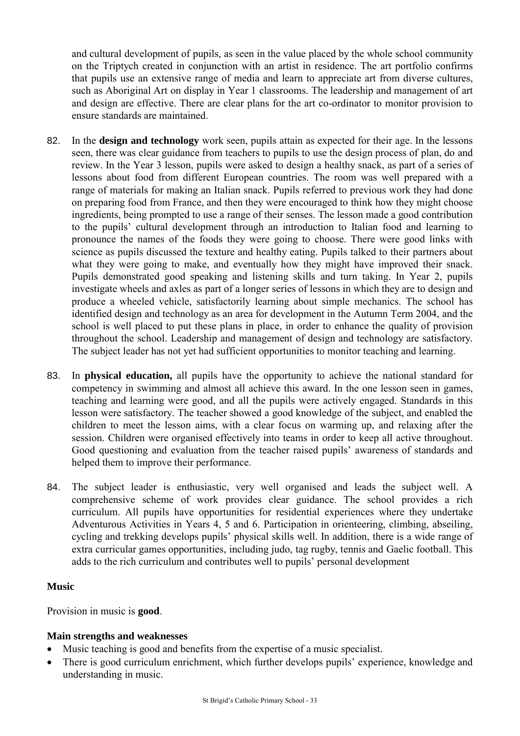and cultural development of pupils, as seen in the value placed by the whole school community on the Triptych created in conjunction with an artist in residence. The art portfolio confirms that pupils use an extensive range of media and learn to appreciate art from diverse cultures, such as Aboriginal Art on display in Year 1 classrooms. The leadership and management of art and design are effective. There are clear plans for the art co-ordinator to monitor provision to ensure standards are maintained.

- 82. In the **design and technology** work seen, pupils attain as expected for their age. In the lessons seen, there was clear guidance from teachers to pupils to use the design process of plan, do and review. In the Year 3 lesson, pupils were asked to design a healthy snack, as part of a series of lessons about food from different European countries. The room was well prepared with a range of materials for making an Italian snack. Pupils referred to previous work they had done on preparing food from France, and then they were encouraged to think how they might choose ingredients, being prompted to use a range of their senses. The lesson made a good contribution to the pupils' cultural development through an introduction to Italian food and learning to pronounce the names of the foods they were going to choose. There were good links with science as pupils discussed the texture and healthy eating. Pupils talked to their partners about what they were going to make, and eventually how they might have improved their snack. Pupils demonstrated good speaking and listening skills and turn taking. In Year 2, pupils investigate wheels and axles as part of a longer series of lessons in which they are to design and produce a wheeled vehicle, satisfactorily learning about simple mechanics. The school has identified design and technology as an area for development in the Autumn Term 2004, and the school is well placed to put these plans in place, in order to enhance the quality of provision throughout the school. Leadership and management of design and technology are satisfactory. The subject leader has not yet had sufficient opportunities to monitor teaching and learning.
- 83. In **physical education,** all pupils have the opportunity to achieve the national standard for competency in swimming and almost all achieve this award. In the one lesson seen in games, teaching and learning were good, and all the pupils were actively engaged. Standards in this lesson were satisfactory. The teacher showed a good knowledge of the subject, and enabled the children to meet the lesson aims, with a clear focus on warming up, and relaxing after the session. Children were organised effectively into teams in order to keep all active throughout. Good questioning and evaluation from the teacher raised pupils' awareness of standards and helped them to improve their performance.
- 84. The subject leader is enthusiastic, very well organised and leads the subject well. A comprehensive scheme of work provides clear guidance. The school provides a rich curriculum. All pupils have opportunities for residential experiences where they undertake Adventurous Activities in Years 4, 5 and 6. Participation in orienteering, climbing, abseiling, cycling and trekking develops pupils' physical skills well. In addition, there is a wide range of extra curricular games opportunities, including judo, tag rugby, tennis and Gaelic football. This adds to the rich curriculum and contributes well to pupils' personal development

#### **Music**

Provision in music is **good**.

## **Main strengths and weaknesses**

- Music teaching is good and benefits from the expertise of a music specialist.
- There is good curriculum enrichment, which further develops pupils' experience, knowledge and understanding in music.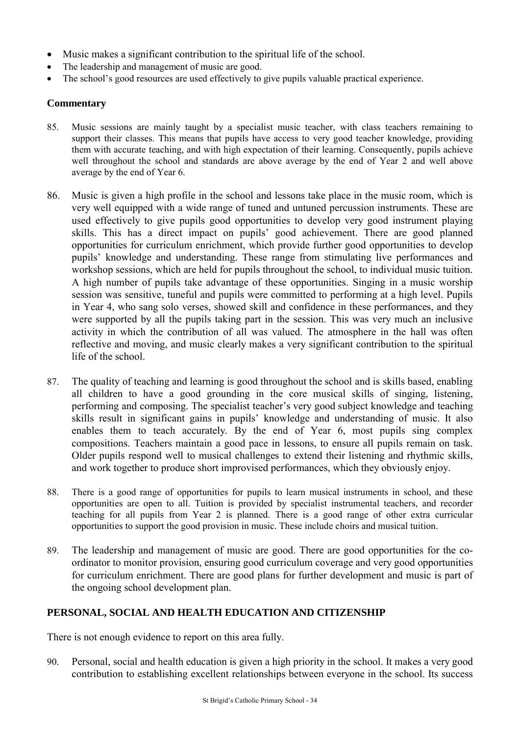- Music makes a significant contribution to the spiritual life of the school.
- The leadership and management of music are good.
- The school's good resources are used effectively to give pupils valuable practical experience.

#### **Commentary**

- 85. Music sessions are mainly taught by a specialist music teacher, with class teachers remaining to support their classes. This means that pupils have access to very good teacher knowledge, providing them with accurate teaching, and with high expectation of their learning. Consequently, pupils achieve well throughout the school and standards are above average by the end of Year 2 and well above average by the end of Year 6.
- 86. Music is given a high profile in the school and lessons take place in the music room, which is very well equipped with a wide range of tuned and untuned percussion instruments. These are used effectively to give pupils good opportunities to develop very good instrument playing skills. This has a direct impact on pupils' good achievement. There are good planned opportunities for curriculum enrichment, which provide further good opportunities to develop pupils' knowledge and understanding. These range from stimulating live performances and workshop sessions, which are held for pupils throughout the school, to individual music tuition. A high number of pupils take advantage of these opportunities. Singing in a music worship session was sensitive, tuneful and pupils were committed to performing at a high level. Pupils in Year 4, who sang solo verses, showed skill and confidence in these performances, and they were supported by all the pupils taking part in the session. This was very much an inclusive activity in which the contribution of all was valued. The atmosphere in the hall was often reflective and moving, and music clearly makes a very significant contribution to the spiritual life of the school.
- 87. The quality of teaching and learning is good throughout the school and is skills based, enabling all children to have a good grounding in the core musical skills of singing, listening, performing and composing. The specialist teacher's very good subject knowledge and teaching skills result in significant gains in pupils' knowledge and understanding of music. It also enables them to teach accurately. By the end of Year 6, most pupils sing complex compositions. Teachers maintain a good pace in lessons, to ensure all pupils remain on task. Older pupils respond well to musical challenges to extend their listening and rhythmic skills, and work together to produce short improvised performances, which they obviously enjoy.
- 88. There is a good range of opportunities for pupils to learn musical instruments in school, and these opportunities are open to all. Tuition is provided by specialist instrumental teachers, and recorder teaching for all pupils from Year 2 is planned. There is a good range of other extra curricular opportunities to support the good provision in music. These include choirs and musical tuition.
- 89. The leadership and management of music are good. There are good opportunities for the coordinator to monitor provision, ensuring good curriculum coverage and very good opportunities for curriculum enrichment. There are good plans for further development and music is part of the ongoing school development plan.

## **PERSONAL, SOCIAL AND HEALTH EDUCATION AND CITIZENSHIP**

There is not enough evidence to report on this area fully.

90. Personal, social and health education is given a high priority in the school. It makes a very good contribution to establishing excellent relationships between everyone in the school. Its success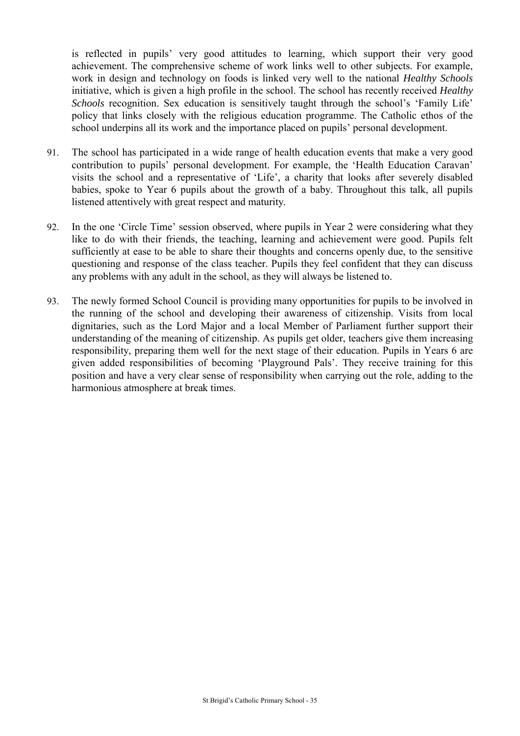is reflected in pupils' very good attitudes to learning, which support their very good achievement. The comprehensive scheme of work links well to other subjects. For example, work in design and technology on foods is linked very well to the national *Healthy Schools*  initiative, which is given a high profile in the school. The school has recently received *Healthy Schools* recognition. Sex education is sensitively taught through the school's 'Family Life' policy that links closely with the religious education programme. The Catholic ethos of the school underpins all its work and the importance placed on pupils' personal development.

- 91. The school has participated in a wide range of health education events that make a very good contribution to pupils' personal development. For example, the 'Health Education Caravan' visits the school and a representative of 'Life', a charity that looks after severely disabled babies, spoke to Year 6 pupils about the growth of a baby. Throughout this talk, all pupils listened attentively with great respect and maturity.
- 92. In the one 'Circle Time' session observed, where pupils in Year 2 were considering what they like to do with their friends, the teaching, learning and achievement were good. Pupils felt sufficiently at ease to be able to share their thoughts and concerns openly due, to the sensitive questioning and response of the class teacher. Pupils they feel confident that they can discuss any problems with any adult in the school, as they will always be listened to.
- 93. The newly formed School Council is providing many opportunities for pupils to be involved in the running of the school and developing their awareness of citizenship. Visits from local dignitaries, such as the Lord Major and a local Member of Parliament further support their understanding of the meaning of citizenship. As pupils get older, teachers give them increasing responsibility, preparing them well for the next stage of their education. Pupils in Years 6 are given added responsibilities of becoming 'Playground Pals'. They receive training for this position and have a very clear sense of responsibility when carrying out the role, adding to the harmonious atmosphere at break times.